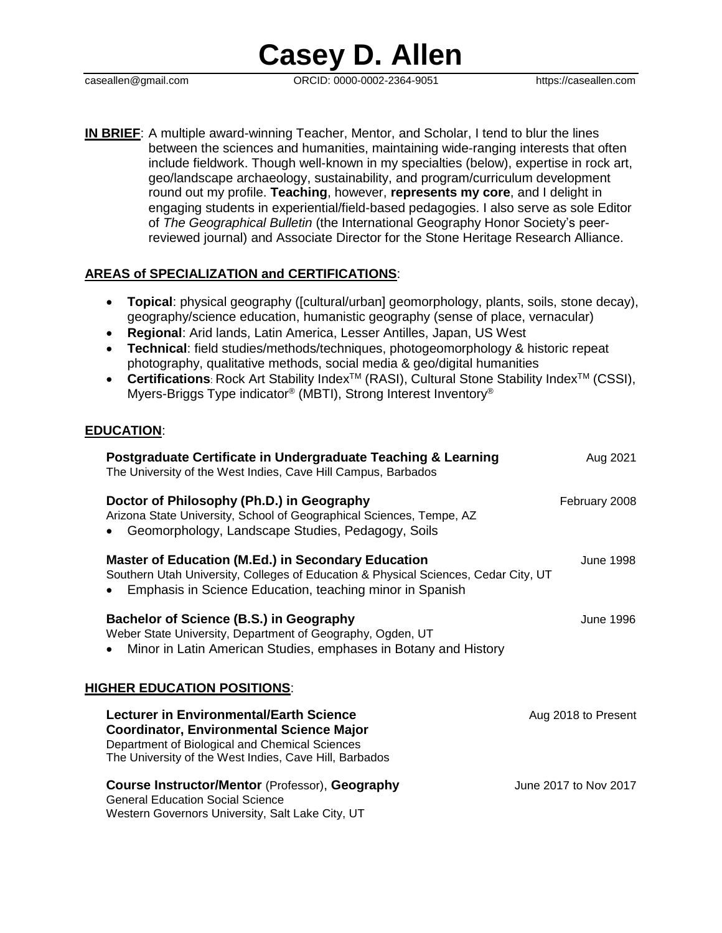**Casey D. Allen**

caseallen@gmail.com ORCID: 0000-0002-2364-9051 https://caseallen.com

**IN BRIEF**: A multiple award-winning Teacher, Mentor, and Scholar, I tend to blur the lines between the sciences and humanities, maintaining wide-ranging interests that often include fieldwork. Though well-known in my specialties (below), expertise in rock art, geo/landscape archaeology, sustainability, and program/curriculum development round out my profile. **Teaching**, however, **represents my core**, and I delight in engaging students in experiential/field-based pedagogies. I also serve as sole Editor of *The Geographical Bulletin* (the International Geography Honor Society's peerreviewed journal) and Associate Director for the Stone Heritage Research Alliance.

#### **AREAS of SPECIALIZATION and CERTIFICATIONS**:

- **Topical**: physical geography ([cultural/urban] geomorphology, plants, soils, stone decay), geography/science education, humanistic geography (sense of place, vernacular)
- **Regional**: Arid lands, Latin America, Lesser Antilles, Japan, US West
- **Technical**: field studies/methods/techniques, photogeomorphology & historic repeat photography, qualitative methods, social media & geo/digital humanities
- Certifications: Rock Art Stability Index<sup>™</sup> (RASI), Cultural Stone Stability Index<sup>™</sup> (CSSI), Myers-Briggs Type indicator® (MBTI), Strong Interest Inventory®

#### **EDUCATION**:

| Postgraduate Certificate in Undergraduate Teaching & Learning<br>The University of the West Indies, Cave Hill Campus, Barbados                                                                               | Aug 2021              |
|--------------------------------------------------------------------------------------------------------------------------------------------------------------------------------------------------------------|-----------------------|
| Doctor of Philosophy (Ph.D.) in Geography<br>Arizona State University, School of Geographical Sciences, Tempe, AZ<br>Geomorphology, Landscape Studies, Pedagogy, Soils                                       | February 2008         |
| <b>Master of Education (M.Ed.) in Secondary Education</b><br>Southern Utah University, Colleges of Education & Physical Sciences, Cedar City, UT<br>Emphasis in Science Education, teaching minor in Spanish | June 1998             |
| Bachelor of Science (B.S.) in Geography<br>Weber State University, Department of Geography, Ogden, UT<br>Minor in Latin American Studies, emphases in Botany and History                                     | June 1996             |
| <b>HIGHER EDUCATION POSITIONS:</b>                                                                                                                                                                           |                       |
| Lecturer in Environmental/Earth Science<br><b>Coordinator, Environmental Science Major</b><br>Department of Biological and Chemical Sciences<br>The University of the West Indies, Cave Hill, Barbados       | Aug 2018 to Present   |
| <b>Course Instructor/Mentor (Professor), Geography</b><br><b>General Education Social Science</b><br>Western Governors University, Salt Lake City, UT                                                        | June 2017 to Nov 2017 |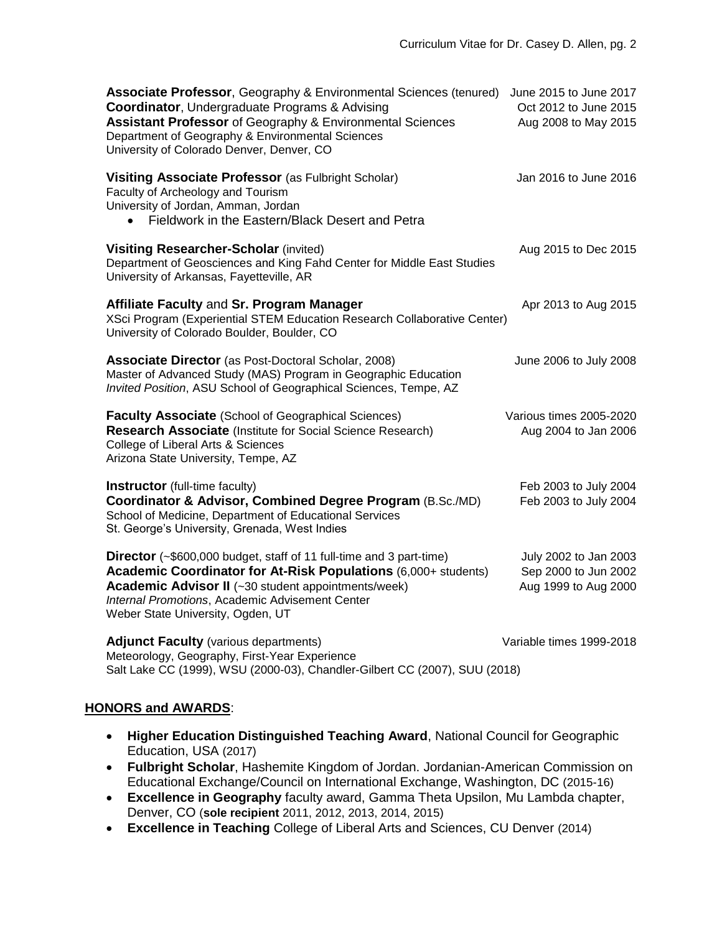| <b>Associate Professor, Geography &amp; Environmental Sciences (tenured)</b><br><b>Coordinator, Undergraduate Programs &amp; Advising</b><br><b>Assistant Professor</b> of Geography & Environmental Sciences<br>Department of Geography & Environmental Sciences<br>University of Colorado Denver, Denver, CO | June 2015 to June 2017<br>Oct 2012 to June 2015<br>Aug 2008 to May 2015 |
|----------------------------------------------------------------------------------------------------------------------------------------------------------------------------------------------------------------------------------------------------------------------------------------------------------------|-------------------------------------------------------------------------|
| Visiting Associate Professor (as Fulbright Scholar)<br>Faculty of Archeology and Tourism<br>University of Jordan, Amman, Jordan<br>Fieldwork in the Eastern/Black Desert and Petra                                                                                                                             | Jan 2016 to June 2016                                                   |
| <b>Visiting Researcher-Scholar (invited)</b><br>Department of Geosciences and King Fahd Center for Middle East Studies<br>University of Arkansas, Fayetteville, AR                                                                                                                                             | Aug 2015 to Dec 2015                                                    |
| Affiliate Faculty and Sr. Program Manager<br>XSci Program (Experiential STEM Education Research Collaborative Center)<br>University of Colorado Boulder, Boulder, CO                                                                                                                                           | Apr 2013 to Aug 2015                                                    |
| <b>Associate Director</b> (as Post-Doctoral Scholar, 2008)<br>Master of Advanced Study (MAS) Program in Geographic Education<br>Invited Position, ASU School of Geographical Sciences, Tempe, AZ                                                                                                               | June 2006 to July 2008                                                  |
| Faculty Associate (School of Geographical Sciences)<br><b>Research Associate (Institute for Social Science Research)</b><br>College of Liberal Arts & Sciences<br>Arizona State University, Tempe, AZ                                                                                                          | Various times 2005-2020<br>Aug 2004 to Jan 2006                         |
| <b>Instructor</b> (full-time faculty)<br>Coordinator & Advisor, Combined Degree Program (B.Sc./MD)<br>School of Medicine, Department of Educational Services<br>St. George's University, Grenada, West Indies                                                                                                  | Feb 2003 to July 2004<br>Feb 2003 to July 2004                          |
| Director (~\$600,000 budget, staff of 11 full-time and 3 part-time)<br>Academic Coordinator for At-Risk Populations (6,000+ students)<br>Academic Advisor II (~30 student appointments/week)<br>Internal Promotions, Academic Advisement Center<br>Weber State University, Ogden, UT                           | July 2002 to Jan 2003<br>Sep 2000 to Jun 2002<br>Aug 1999 to Aug 2000   |
| <b>Adjunct Faculty (various departments)</b><br>Meteorology, Geography, First-Year Experience<br>Salt Lake CC (1999), WSU (2000-03), Chandler-Gilbert CC (2007), SUU (2018)                                                                                                                                    | Variable times 1999-2018                                                |

### **HONORS and AWARDS**:

- **Higher Education Distinguished Teaching Award**, National Council for Geographic Education, USA (2017)
- **Fulbright Scholar**, Hashemite Kingdom of Jordan. Jordanian-American Commission on Educational Exchange/Council on International Exchange, Washington, DC (2015-16)
- **Excellence in Geography** faculty award, Gamma Theta Upsilon, Mu Lambda chapter, Denver, CO (**sole recipient** 2011, 2012, 2013, 2014, 2015)
- **Excellence in Teaching** College of Liberal Arts and Sciences, CU Denver (2014)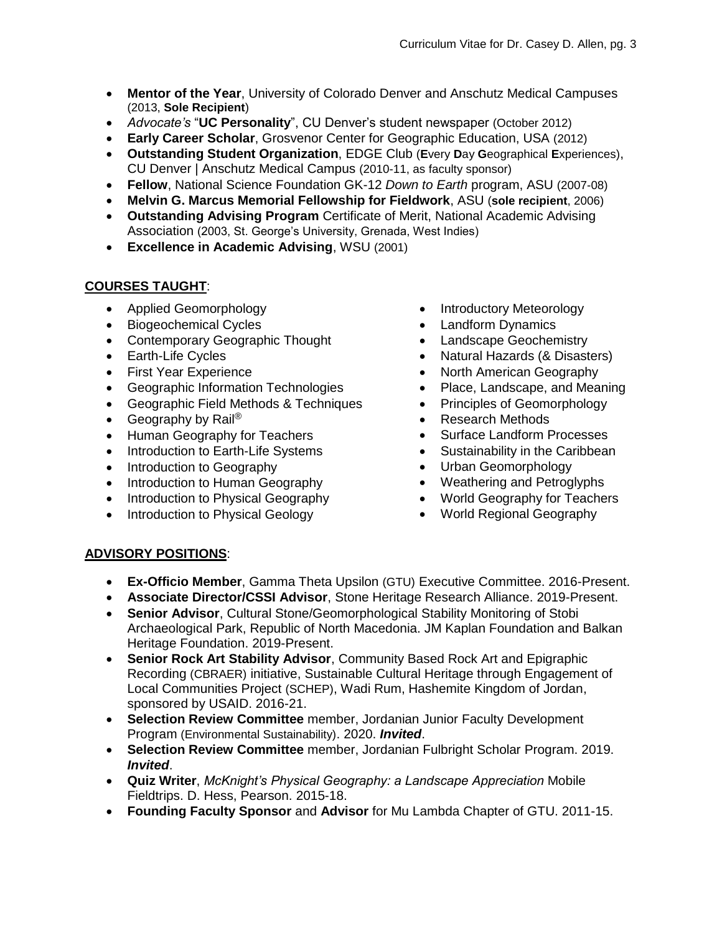- **Mentor of the Year**, University of Colorado Denver and Anschutz Medical Campuses (2013, **Sole Recipient**)
- *Advocate's* "**UC Personality**", CU Denver's student newspaper (October 2012)
- **Early Career Scholar**, Grosvenor Center for Geographic Education, USA (2012)
- **Outstanding Student Organization**, EDGE Club (**E**very **D**ay **G**eographical **E**xperiences), CU Denver | Anschutz Medical Campus (2010-11, as faculty sponsor)
- **Fellow**, National Science Foundation GK-12 *Down to Earth* program, ASU (2007-08)
- **Melvin G. Marcus Memorial Fellowship for Fieldwork**, ASU (**sole recipient**, 2006)
- **Outstanding Advising Program** Certificate of Merit, National Academic Advising Association (2003, St. George's University, Grenada, West Indies)
- **Excellence in Academic Advising**, WSU (2001)

## **COURSES TAUGHT**:

- Applied Geomorphology
- Biogeochemical Cycles
- Contemporary Geographic Thought
- Earth-Life Cycles
- First Year Experience
- Geographic Information Technologies
- Geographic Field Methods & Techniques
- Geography by Rail<sup>®</sup>
- Human Geography for Teachers
- Introduction to Earth-Life Systems
- Introduction to Geography
- Introduction to Human Geography
- Introduction to Physical Geography
- Introduction to Physical Geology
- Introductory Meteorology
- Landform Dynamics
- Landscape Geochemistry
- Natural Hazards (& Disasters)
- North American Geography
- Place, Landscape, and Meaning
- Principles of Geomorphology
- Research Methods
- Surface Landform Processes
- Sustainability in the Caribbean
- Urban Geomorphology
- Weathering and Petroglyphs
- World Geography for Teachers
- World Regional Geography

## **ADVISORY POSITIONS**:

- **Ex-Officio Member**, Gamma Theta Upsilon (GTU) Executive Committee. 2016-Present.
- **Associate Director/CSSI Advisor**, Stone Heritage Research Alliance. 2019-Present.
- **Senior Advisor**, Cultural Stone/Geomorphological Stability Monitoring of Stobi Archaeological Park, Republic of North Macedonia. JM Kaplan Foundation and Balkan Heritage Foundation. 2019-Present.
- **Senior Rock Art Stability Advisor**, Community Based Rock Art and Epigraphic Recording (CBRAER) initiative, Sustainable Cultural Heritage through Engagement of Local Communities Project (SCHEP), Wadi Rum, Hashemite Kingdom of Jordan, sponsored by USAID. 2016-21.
- **Selection Review Committee** member, Jordanian Junior Faculty Development Program (Environmental Sustainability). 2020. *Invited*.
- **Selection Review Committee** member, Jordanian Fulbright Scholar Program. 2019. *Invited*.
- **Quiz Writer**, *McKnight's Physical Geography: a Landscape Appreciation* Mobile Fieldtrips. D. Hess, Pearson. 2015-18.
- **Founding Faculty Sponsor** and **Advisor** for Mu Lambda Chapter of GTU. 2011-15.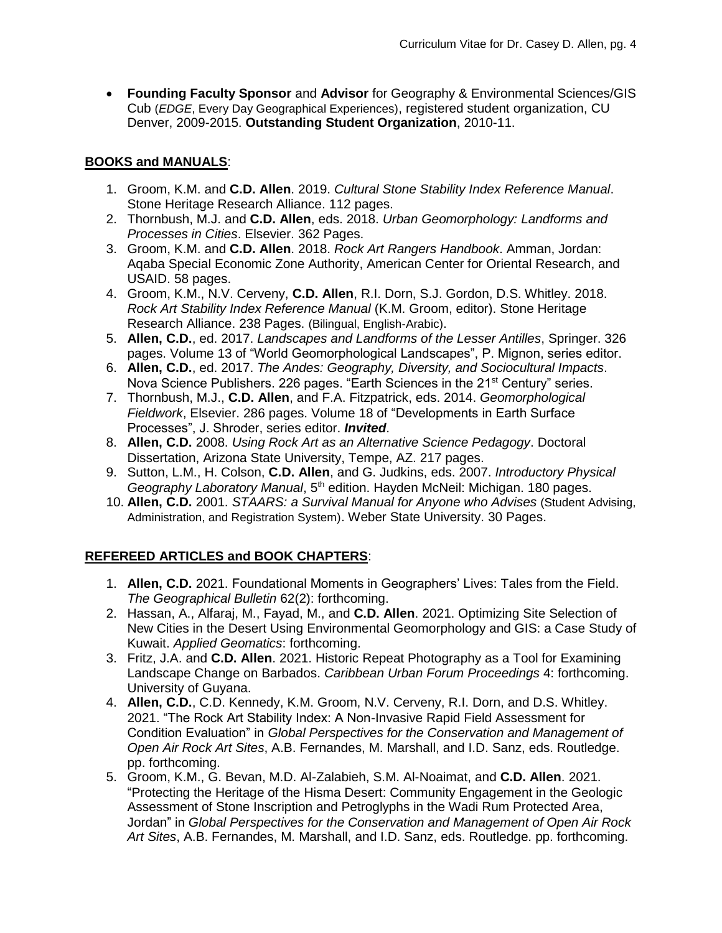**Founding Faculty Sponsor** and **Advisor** for Geography & Environmental Sciences/GIS Cub (*EDGE*, Every Day Geographical Experiences), registered student organization, CU Denver, 2009-2015. **Outstanding Student Organization**, 2010-11.

## **BOOKS and MANUALS**:

- 1. Groom, K.M. and **C.D. Allen**. 2019. *Cultural Stone Stability Index Reference Manual*. Stone Heritage Research Alliance. 112 pages.
- 2. Thornbush, M.J. and **C.D. Allen**, eds. 2018. *Urban Geomorphology: Landforms and Processes in Cities*. Elsevier. 362 Pages.
- 3. Groom, K.M. and **C.D. Allen**. 2018. *Rock Art Rangers Handbook*. Amman, Jordan: Aqaba Special Economic Zone Authority, American Center for Oriental Research, and USAID. 58 pages.
- 4. Groom, K.M., N.V. Cerveny, **C.D. Allen**, R.I. Dorn, S.J. Gordon, D.S. Whitley. 2018. *Rock Art Stability Index Reference Manual* (K.M. Groom, editor). Stone Heritage Research Alliance. 238 Pages. (Bilingual, English-Arabic).
- 5. **Allen, C.D.**, ed. 2017. *Landscapes and Landforms of the Lesser Antilles*, Springer. 326 pages. Volume 13 of "World Geomorphological Landscapes", P. Mignon, series editor.
- 6. **Allen, C.D.**, ed. 2017. *The Andes: Geography, Diversity, and Sociocultural Impacts*. Nova Science Publishers. 226 pages. "Earth Sciences in the 21<sup>st</sup> Century" series.
- 7. Thornbush, M.J., **C.D. Allen**, and F.A. Fitzpatrick, eds. 2014. *Geomorphological Fieldwork*, Elsevier. 286 pages. Volume 18 of "Developments in Earth Surface Processes", J. Shroder, series editor. *Invited*.
- 8. **Allen, C.D.** 2008. *Using Rock Art as an Alternative Science Pedagogy*. Doctoral Dissertation, Arizona State University, Tempe, AZ. 217 pages.
- 9. Sutton, L.M., H. Colson, **C.D. Allen**, and G. Judkins, eds. 2007. *Introductory Physical Geography Laboratory Manual*, 5th edition. Hayden McNeil: Michigan. 180 pages.
- 10. **Allen, C.D.** 2001. *STAARS: a Survival Manual for Anyone who Advises* (Student Advising, Administration, and Registration System). Weber State University. 30 Pages.

## **REFEREED ARTICLES and BOOK CHAPTERS**:

- 1. **Allen, C.D.** 2021. Foundational Moments in Geographers' Lives: Tales from the Field. *The Geographical Bulletin* 62(2): forthcoming.
- 2. Hassan, A., Alfaraj, M., Fayad, M., and **C.D. Allen**. 2021. Optimizing Site Selection of New Cities in the Desert Using Environmental Geomorphology and GIS: a Case Study of Kuwait. *Applied Geomatics*: forthcoming.
- 3. Fritz, J.A. and **C.D. Allen**. 2021. Historic Repeat Photography as a Tool for Examining Landscape Change on Barbados. *Caribbean Urban Forum Proceedings* 4: forthcoming. University of Guyana.
- 4. **Allen, C.D.**, C.D. Kennedy, K.M. Groom, N.V. Cerveny, R.I. Dorn, and D.S. Whitley. 2021. "The Rock Art Stability Index: A Non-Invasive Rapid Field Assessment for Condition Evaluation" in *Global Perspectives for the Conservation and Management of Open Air Rock Art Sites*, A.B. Fernandes, M. Marshall, and I.D. Sanz, eds. Routledge. pp. forthcoming.
- 5. Groom, K.M., G. Bevan, M.D. Al-Zalabieh, S.M. Al-Noaimat, and **C.D. Allen**. 2021. "Protecting the Heritage of the Hisma Desert: Community Engagement in the Geologic Assessment of Stone Inscription and Petroglyphs in the Wadi Rum Protected Area, Jordan" in *Global Perspectives for the Conservation and Management of Open Air Rock Art Sites*, A.B. Fernandes, M. Marshall, and I.D. Sanz, eds. Routledge. pp. forthcoming.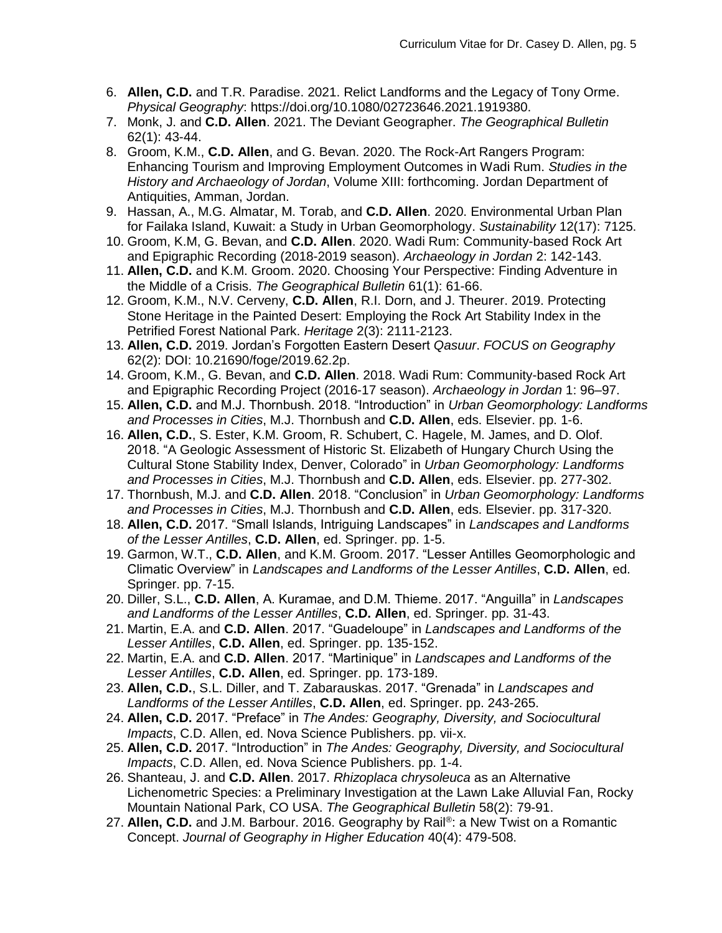- 6. **Allen, C.D.** and T.R. Paradise. 2021. Relict Landforms and the Legacy of Tony Orme. *Physical Geography*: https://doi.org/10.1080/02723646.2021.1919380.
- 7. Monk, J. and **C.D. Allen**. 2021. The Deviant Geographer. *The Geographical Bulletin* 62(1): 43-44.
- 8. Groom, K.M., **C.D. Allen**, and G. Bevan. 2020. The Rock-Art Rangers Program: Enhancing Tourism and Improving Employment Outcomes in Wadi Rum. *Studies in the History and Archaeology of Jordan*, Volume XIII: forthcoming. Jordan Department of Antiquities, Amman, Jordan.
- 9. Hassan, A., M.G. Almatar, M. Torab, and **C.D. Allen**. 2020. Environmental Urban Plan for Failaka Island, Kuwait: a Study in Urban Geomorphology. *Sustainability* 12(17): 7125.
- 10. Groom, K.M, G. Bevan, and **C.D. Allen**. 2020. Wadi Rum: Community-based Rock Art and Epigraphic Recording (2018-2019 season). *Archaeology in Jordan* 2: 142-143.
- 11. **Allen, C.D.** and K.M. Groom. 2020. Choosing Your Perspective: Finding Adventure in the Middle of a Crisis. *The Geographical Bulletin* 61(1): 61-66.
- 12. Groom, K.M., N.V. Cerveny, **C.D. Allen**, R.I. Dorn, and J. Theurer. 2019. Protecting Stone Heritage in the Painted Desert: Employing the Rock Art Stability Index in the Petrified Forest National Park. *Heritage* 2(3): 2111-2123.
- 13. **Allen, C.D.** 2019. Jordan's Forgotten Eastern Desert *Qasuur*. *FOCUS on Geography* 62(2): DOI: 10.21690/foge/2019.62.2p.
- 14. Groom, K.M., G. Bevan, and **C.D. Allen**. 2018. Wadi Rum: Community-based Rock Art and Epigraphic Recording Project (2016-17 season). *Archaeology in Jordan* 1: 96–97.
- 15. **Allen, C.D.** and M.J. Thornbush. 2018. "Introduction" in *Urban Geomorphology: Landforms and Processes in Cities*, M.J. Thornbush and **C.D. Allen**, eds. Elsevier. pp. 1-6.
- 16. **Allen, C.D.**, S. Ester, K.M. Groom, R. Schubert, C. Hagele, M. James, and D. Olof. 2018. "A Geologic Assessment of Historic St. Elizabeth of Hungary Church Using the Cultural Stone Stability Index, Denver, Colorado" in *Urban Geomorphology: Landforms and Processes in Cities*, M.J. Thornbush and **C.D. Allen**, eds. Elsevier. pp. 277-302.
- 17. Thornbush, M.J. and **C.D. Allen**. 2018. "Conclusion" in *Urban Geomorphology: Landforms and Processes in Cities*, M.J. Thornbush and **C.D. Allen**, eds. Elsevier. pp. 317-320.
- 18. **Allen, C.D.** 2017. "Small Islands, Intriguing Landscapes" in *Landscapes and Landforms of the Lesser Antilles*, **C.D. Allen**, ed. Springer. pp. 1-5.
- 19. Garmon, W.T., **C.D. Allen**, and K.M. Groom. 2017. "Lesser Antilles Geomorphologic and Climatic Overview" in *Landscapes and Landforms of the Lesser Antilles*, **C.D. Allen**, ed. Springer. pp. 7-15.
- 20. Diller, S.L., **C.D. Allen**, A. Kuramae, and D.M. Thieme. 2017. "Anguilla" in *Landscapes and Landforms of the Lesser Antilles*, **C.D. Allen**, ed. Springer. pp. 31-43.
- 21. Martin, E.A. and **C.D. Allen**. 2017. "Guadeloupe" in *Landscapes and Landforms of the Lesser Antilles*, **C.D. Allen**, ed. Springer. pp. 135-152.
- 22. Martin, E.A. and **C.D. Allen**. 2017. "Martinique" in *Landscapes and Landforms of the Lesser Antilles*, **C.D. Allen**, ed. Springer. pp. 173-189.
- 23. **Allen, C.D.**, S.L. Diller, and T. Zabarauskas. 2017. "Grenada" in *Landscapes and Landforms of the Lesser Antilles*, **C.D. Allen**, ed. Springer. pp. 243-265.
- 24. **Allen, C.D.** 2017. "Preface" in *The Andes: Geography, Diversity, and Sociocultural Impacts*, C.D. Allen, ed. Nova Science Publishers. pp. vii-x.
- 25. **Allen, C.D.** 2017. "Introduction" in *The Andes: Geography, Diversity, and Sociocultural Impacts*, C.D. Allen, ed. Nova Science Publishers. pp. 1-4.
- 26. Shanteau, J. and **C.D. Allen**. 2017. *Rhizoplaca chrysoleuca* as an Alternative Lichenometric Species: a Preliminary Investigation at the Lawn Lake Alluvial Fan, Rocky Mountain National Park, CO USA. *The Geographical Bulletin* 58(2): 79-91.
- 27. Allen, C.D. and J.M. Barbour. 2016. Geography by Rail®: a New Twist on a Romantic Concept. *Journal of Geography in Higher Education* 40(4): 479-508.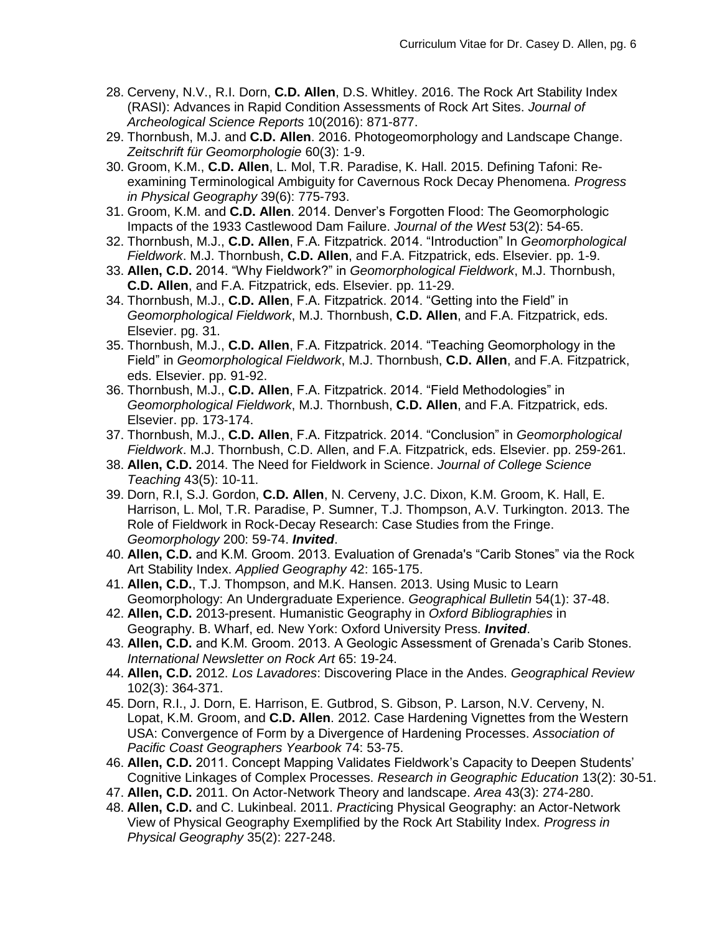- 28. Cerveny, N.V., R.I. Dorn, **C.D. Allen**, D.S. Whitley. 2016. The Rock Art Stability Index (RASI): Advances in Rapid Condition Assessments of Rock Art Sites. *Journal of Archeological Science Reports* 10(2016): 871-877.
- 29. Thornbush, M.J. and **C.D. Allen**. 2016. Photogeomorphology and Landscape Change. *Zeitschrift für Geomorphologie* 60(3): 1-9.
- 30. Groom, K.M., **C.D. Allen**, L. Mol, T.R. Paradise, K. Hall. 2015. Defining Tafoni: Reexamining Terminological Ambiguity for Cavernous Rock Decay Phenomena. *Progress in Physical Geography* 39(6): 775-793.
- 31. Groom, K.M. and **C.D. Allen**. 2014. Denver's Forgotten Flood: The Geomorphologic Impacts of the 1933 Castlewood Dam Failure. *Journal of the West* 53(2): 54-65.
- 32. Thornbush, M.J., **C.D. Allen**, F.A. Fitzpatrick. 2014. "Introduction" In *Geomorphological Fieldwork*. M.J. Thornbush, **C.D. Allen**, and F.A. Fitzpatrick, eds. Elsevier. pp. 1-9.
- 33. **Allen, C.D.** 2014. "Why Fieldwork?" in *Geomorphological Fieldwork*, M.J. Thornbush, **C.D. Allen**, and F.A. Fitzpatrick, eds. Elsevier. pp. 11-29.
- 34. Thornbush, M.J., **C.D. Allen**, F.A. Fitzpatrick. 2014. "Getting into the Field" in *Geomorphological Fieldwork*, M.J. Thornbush, **C.D. Allen**, and F.A. Fitzpatrick, eds. Elsevier. pg. 31.
- 35. Thornbush, M.J., **C.D. Allen**, F.A. Fitzpatrick. 2014. "Teaching Geomorphology in the Field" in *Geomorphological Fieldwork*, M.J. Thornbush, **C.D. Allen**, and F.A. Fitzpatrick, eds. Elsevier. pp. 91-92.
- 36. Thornbush, M.J., **C.D. Allen**, F.A. Fitzpatrick. 2014. "Field Methodologies" in *Geomorphological Fieldwork*, M.J. Thornbush, **C.D. Allen**, and F.A. Fitzpatrick, eds. Elsevier. pp. 173-174.
- 37. Thornbush, M.J., **C.D. Allen**, F.A. Fitzpatrick. 2014. "Conclusion" in *Geomorphological Fieldwork*. M.J. Thornbush, C.D. Allen, and F.A. Fitzpatrick, eds. Elsevier. pp. 259-261.
- 38. **Allen, C.D.** 2014. The Need for Fieldwork in Science. *Journal of College Science Teaching* 43(5): 10-11.
- 39. Dorn, R.I, S.J. Gordon, **C.D. Allen**, N. Cerveny, J.C. Dixon, K.M. Groom, K. Hall, E. Harrison, L. Mol, T.R. Paradise, P. Sumner, T.J. Thompson, A.V. Turkington. 2013. The Role of Fieldwork in Rock-Decay Research: Case Studies from the Fringe. *Geomorphology* 200: 59-74. *Invited*.
- 40. **Allen, C.D.** and K.M. Groom. 2013. Evaluation of Grenada's "Carib Stones" via the Rock Art Stability Index. *Applied Geography* 42: 165-175.
- 41. **Allen, C.D.**, T.J. Thompson, and M.K. Hansen. 2013. Using Music to Learn Geomorphology: An Undergraduate Experience. *Geographical Bulletin* 54(1): 37-48.
- 42. **Allen, C.D.** 2013-present. Humanistic Geography in *Oxford Bibliographies* in Geography. B. Wharf, ed. New York: Oxford University Press. *Invited*.
- 43. **Allen, C.D.** and K.M. Groom. 2013. A Geologic Assessment of Grenada's Carib Stones. *International Newsletter on Rock Art* 65: 19-24.
- 44. **Allen, C.D.** 2012. *Los Lavadores*: Discovering Place in the Andes. *Geographical Review* 102(3): 364-371.
- 45. Dorn, R.I., J. Dorn, E. Harrison, E. Gutbrod, S. Gibson, P. Larson, N.V. Cerveny, N. Lopat, K.M. Groom, and **C.D. Allen**. 2012. Case Hardening Vignettes from the Western USA: Convergence of Form by a Divergence of Hardening Processes. *Association of Pacific Coast Geographers Yearbook* 74: 53-75.
- 46. **Allen, C.D.** 2011. Concept Mapping Validates Fieldwork's Capacity to Deepen Students' Cognitive Linkages of Complex Processes. *Research in Geographic Education* 13(2): 30-51.
- 47. **Allen, C.D.** 2011. On Actor-Network Theory and landscape. *Area* 43(3): 274-280.
- 48. **Allen, C.D.** and C. Lukinbeal. 2011. *Practic*ing Physical Geography: an Actor-Network View of Physical Geography Exemplified by the Rock Art Stability Index. *Progress in Physical Geography* 35(2): 227-248.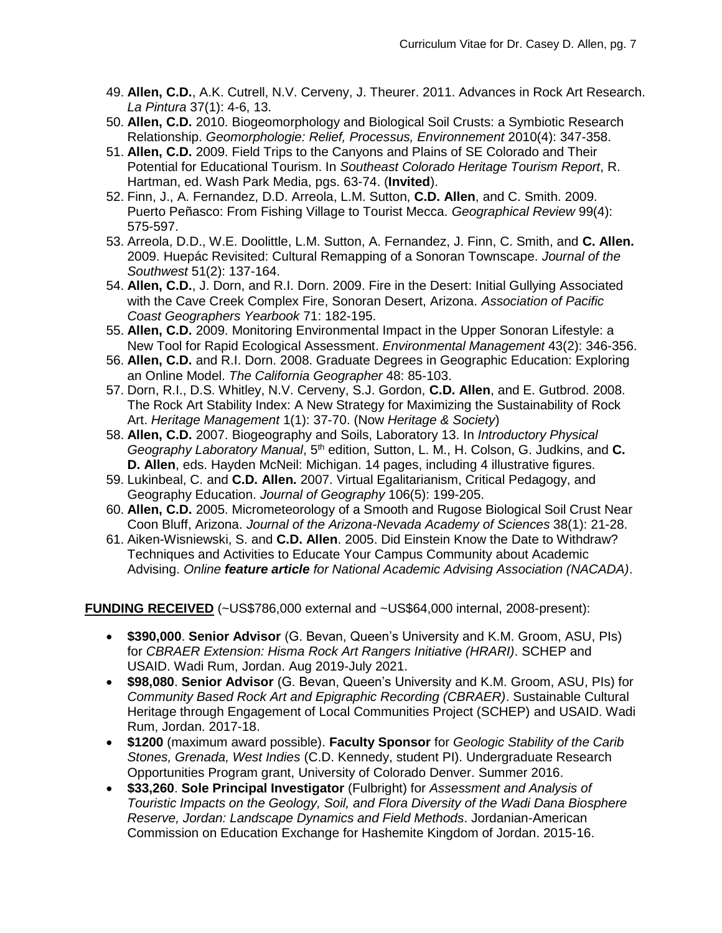- 49. **Allen, C.D.**, A.K. Cutrell, N.V. Cerveny, J. Theurer. 2011. Advances in Rock Art Research. *La Pintura* 37(1): 4-6, 13.
- 50. **Allen, C.D.** 2010. Biogeomorphology and Biological Soil Crusts: a Symbiotic Research Relationship. *Geomorphologie: Relief, Processus, Environnement* 2010(4): 347-358.
- 51. **Allen, C.D.** 2009. Field Trips to the Canyons and Plains of SE Colorado and Their Potential for Educational Tourism. In *Southeast Colorado Heritage Tourism Report*, R. Hartman, ed. Wash Park Media, pgs. 63-74. (**Invited**).
- 52. Finn, J., A. Fernandez, D.D. Arreola, L.M. Sutton, **C.D. Allen**, and C. Smith. 2009. Puerto Peñasco: From Fishing Village to Tourist Mecca. *Geographical Review* 99(4): 575-597.
- 53. Arreola, D.D., W.E. Doolittle, L.M. Sutton, A. Fernandez, J. Finn, C. Smith, and **C. Allen.** 2009. Huepác Revisited: Cultural Remapping of a Sonoran Townscape. *Journal of the Southwest* 51(2): 137-164.
- 54. **Allen, C.D.**, J. Dorn, and R.I. Dorn. 2009. Fire in the Desert: Initial Gullying Associated with the Cave Creek Complex Fire, Sonoran Desert, Arizona. *Association of Pacific Coast Geographers Yearbook* 71: 182-195.
- 55. **Allen, C.D.** 2009. Monitoring Environmental Impact in the Upper Sonoran Lifestyle: a New Tool for Rapid Ecological Assessment. *Environmental Management* 43(2): 346-356.
- 56. **Allen, C.D.** and R.I. Dorn. 2008. Graduate Degrees in Geographic Education: Exploring an Online Model. *The California Geographer* 48: 85-103.
- 57. Dorn, R.I., D.S. Whitley, N.V. Cerveny, S.J. Gordon, **C.D. Allen**, and E. Gutbrod. 2008. The Rock Art Stability Index: A New Strategy for Maximizing the Sustainability of Rock Art. *Heritage Management* 1(1): 37-70. (Now *Heritage & Society*)
- 58. **Allen, C.D.** 2007. Biogeography and Soils, Laboratory 13. In *Introductory Physical Geography Laboratory Manual*, 5th edition, Sutton, L. M., H. Colson, G. Judkins, and **C. D. Allen**, eds. Hayden McNeil: Michigan. 14 pages, including 4 illustrative figures.
- 59. Lukinbeal, C. and **C.D. Allen.** 2007. Virtual Egalitarianism, Critical Pedagogy, and Geography Education. *Journal of Geography* 106(5): 199-205.
- 60. **Allen, C.D.** 2005. Micrometeorology of a Smooth and Rugose Biological Soil Crust Near Coon Bluff, Arizona. *Journal of the Arizona-Nevada Academy of Sciences* 38(1): 21-28.
- 61. Aiken-Wisniewski, S. and **C.D. Allen**. 2005. Did Einstein Know the Date to Withdraw? Techniques and Activities to Educate Your Campus Community about Academic Advising. *Online feature article for National Academic Advising Association (NACADA)*.

## **FUNDING RECEIVED** (~US\$786,000 external and ~US\$64,000 internal, 2008-present):

- **\$390,000**. **Senior Advisor** (G. Bevan, Queen's University and K.M. Groom, ASU, PIs) for *CBRAER Extension: Hisma Rock Art Rangers Initiative (HRARI)*. SCHEP and USAID. Wadi Rum, Jordan. Aug 2019-July 2021.
- **\$98,080**. **Senior Advisor** (G. Bevan, Queen's University and K.M. Groom, ASU, PIs) for *Community Based Rock Art and Epigraphic Recording (CBRAER)*. Sustainable Cultural Heritage through Engagement of Local Communities Project (SCHEP) and USAID. Wadi Rum, Jordan. 2017-18.
- **\$1200** (maximum award possible). **Faculty Sponsor** for *Geologic Stability of the Carib Stones, Grenada, West Indies* (C.D. Kennedy, student PI). Undergraduate Research Opportunities Program grant, University of Colorado Denver. Summer 2016.
- **\$33,260**. **Sole Principal Investigator** (Fulbright) for *Assessment and Analysis of Touristic Impacts on the Geology, Soil, and Flora Diversity of the Wadi Dana Biosphere Reserve, Jordan: Landscape Dynamics and Field Methods*. Jordanian-American Commission on Education Exchange for Hashemite Kingdom of Jordan. 2015-16.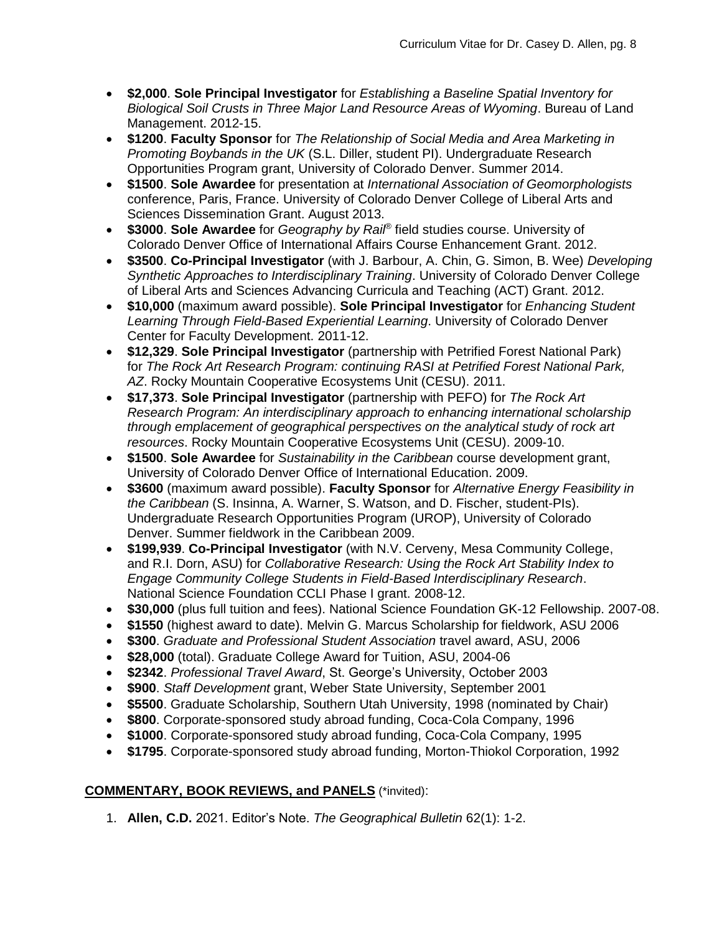- **\$2,000**. **Sole Principal Investigator** for *Establishing a Baseline Spatial Inventory for Biological Soil Crusts in Three Major Land Resource Areas of Wyoming*. Bureau of Land Management. 2012-15.
- **\$1200**. **Faculty Sponsor** for *The Relationship of Social Media and Area Marketing in Promoting Boybands in the UK* (S.L. Diller, student PI). Undergraduate Research Opportunities Program grant, University of Colorado Denver. Summer 2014.
- **\$1500**. **Sole Awardee** for presentation at *International Association of Geomorphologists* conference, Paris, France. University of Colorado Denver College of Liberal Arts and Sciences Dissemination Grant. August 2013.
- **\$3000**. **Sole Awardee** for *Geography by Rail®* field studies course. University of Colorado Denver Office of International Affairs Course Enhancement Grant. 2012.
- **\$3500**. **Co-Principal Investigator** (with J. Barbour, A. Chin, G. Simon, B. Wee) *Developing Synthetic Approaches to Interdisciplinary Training*. University of Colorado Denver College of Liberal Arts and Sciences Advancing Curricula and Teaching (ACT) Grant. 2012.
- **\$10,000** (maximum award possible). **Sole Principal Investigator** for *Enhancing Student Learning Through Field-Based Experiential Learning*. University of Colorado Denver Center for Faculty Development. 2011-12.
- **\$12,329**. **Sole Principal Investigator** (partnership with Petrified Forest National Park) for *The Rock Art Research Program: continuing RASI at Petrified Forest National Park, AZ*. Rocky Mountain Cooperative Ecosystems Unit (CESU). 2011.
- **\$17,373**. **Sole Principal Investigator** (partnership with PEFO) for *The Rock Art Research Program: An interdisciplinary approach to enhancing international scholarship through emplacement of geographical perspectives on the analytical study of rock art resources*. Rocky Mountain Cooperative Ecosystems Unit (CESU). 2009-10.
- **\$1500**. **Sole Awardee** for *Sustainability in the Caribbean* course development grant, University of Colorado Denver Office of International Education. 2009.
- **\$3600** (maximum award possible). **Faculty Sponsor** for *Alternative Energy Feasibility in the Caribbean* (S. Insinna, A. Warner, S. Watson, and D. Fischer, student-PIs). Undergraduate Research Opportunities Program (UROP), University of Colorado Denver. Summer fieldwork in the Caribbean 2009.
- **\$199,939**. **Co-Principal Investigator** (with N.V. Cerveny, Mesa Community College, and R.I. Dorn, ASU) for *Collaborative Research: Using the Rock Art Stability Index to Engage Community College Students in Field-Based Interdisciplinary Research*. National Science Foundation CCLI Phase I grant. 2008-12.
- **\$30,000** (plus full tuition and fees). National Science Foundation GK-12 Fellowship. 2007-08.
- **\$1550** (highest award to date). Melvin G. Marcus Scholarship for fieldwork, ASU 2006
- **\$300**. *Graduate and Professional Student Association* travel award, ASU, 2006
- **\$28,000** (total). Graduate College Award for Tuition, ASU, 2004-06
- **\$2342**. *Professional Travel Award*, St. George's University, October 2003
- **\$900**. *Staff Development* grant, Weber State University, September 2001
- **\$5500**. Graduate Scholarship, Southern Utah University, 1998 (nominated by Chair)
- **\$800**. Corporate-sponsored study abroad funding, Coca-Cola Company, 1996
- **\$1000**. Corporate-sponsored study abroad funding, Coca-Cola Company, 1995
- **\$1795**. Corporate-sponsored study abroad funding, Morton-Thiokol Corporation, 1992

## **COMMENTARY, BOOK REVIEWS, and PANELS** (\*invited):

1. **Allen, C.D.** 2021. Editor's Note. *The Geographical Bulletin* 62(1): 1-2.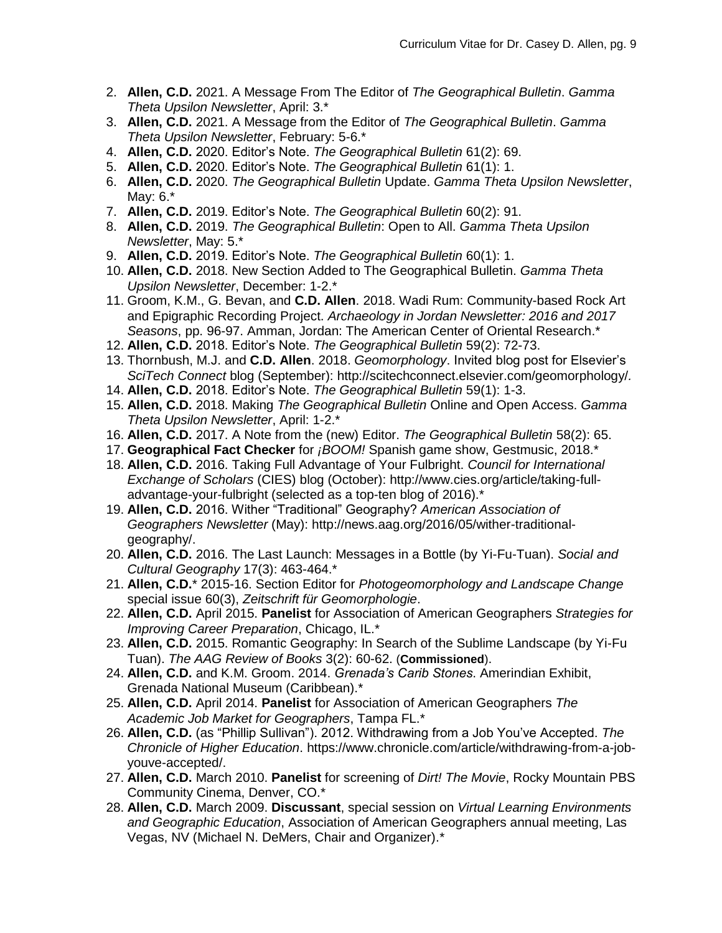- 2. **Allen, C.D.** 2021. A Message From The Editor of *The Geographical Bulletin*. *Gamma Theta Upsilon Newsletter*, April: 3.\*
- 3. **Allen, C.D.** 2021. A Message from the Editor of *The Geographical Bulletin*. *Gamma Theta Upsilon Newsletter*, February: 5-6.\*
- 4. **Allen, C.D.** 2020. Editor's Note. *The Geographical Bulletin* 61(2): 69.
- 5. **Allen, C.D.** 2020. Editor's Note. *The Geographical Bulletin* 61(1): 1.
- 6. **Allen, C.D.** 2020. *The Geographical Bulletin* Update. *Gamma Theta Upsilon Newsletter*, May: 6.\*
- 7. **Allen, C.D.** 2019. Editor's Note. *The Geographical Bulletin* 60(2): 91.
- 8. **Allen, C.D.** 2019. *The Geographical Bulletin*: Open to All. *Gamma Theta Upsilon Newsletter*, May: 5.\*
- 9. **Allen, C.D.** 2019. Editor's Note. *The Geographical Bulletin* 60(1): 1.
- 10. **Allen, C.D.** 2018. New Section Added to The Geographical Bulletin. *Gamma Theta Upsilon Newsletter*, December: 1-2.\*
- 11. Groom, K.M., G. Bevan, and **C.D. Allen**. 2018. Wadi Rum: Community-based Rock Art and Epigraphic Recording Project. *Archaeology in Jordan Newsletter: 2016 and 2017 Seasons*, pp. 96-97. Amman, Jordan: The American Center of Oriental Research.\*
- 12. **Allen, C.D.** 2018. Editor's Note. *The Geographical Bulletin* 59(2): 72-73.
- 13. Thornbush, M.J. and **C.D. Allen**. 2018. *Geomorphology*. Invited blog post for Elsevier's *SciTech Connect* blog (September): http://scitechconnect.elsevier.com/geomorphology/*.*
- 14. **Allen, C.D.** 2018. Editor's Note. *The Geographical Bulletin* 59(1): 1-3.
- 15. **Allen, C.D.** 2018. Making *The Geographical Bulletin* Online and Open Access. *Gamma Theta Upsilon Newsletter*, April: 1-2.\*
- 16. **Allen, C.D.** 2017. A Note from the (new) Editor. *The Geographical Bulletin* 58(2): 65.
- 17. **Geographical Fact Checker** for *¡BOOM!* Spanish game show, Gestmusic, 2018.\*
- 18. **Allen, C.D.** 2016. Taking Full Advantage of Your Fulbright. *Council for International Exchange of Scholars* (CIES) blog (October): http://www.cies.org/article/taking-fulladvantage-your-fulbright (selected as a top-ten blog of 2016).\*
- 19. **Allen, C.D.** 2016. Wither "Traditional" Geography? *American Association of Geographers Newsletter* (May): http://news.aag.org/2016/05/wither-traditionalgeography/.
- 20. **Allen, C.D.** 2016. The Last Launch: Messages in a Bottle (by Yi-Fu-Tuan). *Social and Cultural Geography* 17(3): 463-464.\*
- 21. **Allen, C.D.**\* 2015-16. Section Editor for *Photogeomorphology and Landscape Change* special issue 60(3), *Zeitschrift für Geomorphologie*.
- 22. **Allen, C.D.** April 2015. **Panelist** for Association of American Geographers *Strategies for Improving Career Preparation*, Chicago, IL.\*
- 23. **Allen, C.D.** 2015. Romantic Geography: In Search of the Sublime Landscape (by Yi-Fu Tuan). *The AAG Review of Books* 3(2): 60-62. (**Commissioned**).
- 24. **Allen, C.D.** and K.M. Groom. 2014. *Grenada's Carib Stones*. Amerindian Exhibit, Grenada National Museum (Caribbean).\*
- 25. **Allen, C.D.** April 2014. **Panelist** for Association of American Geographers *The Academic Job Market for Geographers*, Tampa FL.\*
- 26. **Allen, C.D.** (as "Phillip Sullivan"). 2012. Withdrawing from a Job You've Accepted. *The Chronicle of Higher Education*. https://www.chronicle.com/article/withdrawing-from-a-jobyouve-accepted/.
- 27. **Allen, C.D.** March 2010. **Panelist** for screening of *Dirt! The Movie*, Rocky Mountain PBS Community Cinema, Denver, CO.\*
- 28. **Allen, C.D.** March 2009. **Discussant**, special session on *Virtual Learning Environments and Geographic Education*, Association of American Geographers annual meeting, Las Vegas, NV (Michael N. DeMers, Chair and Organizer).\*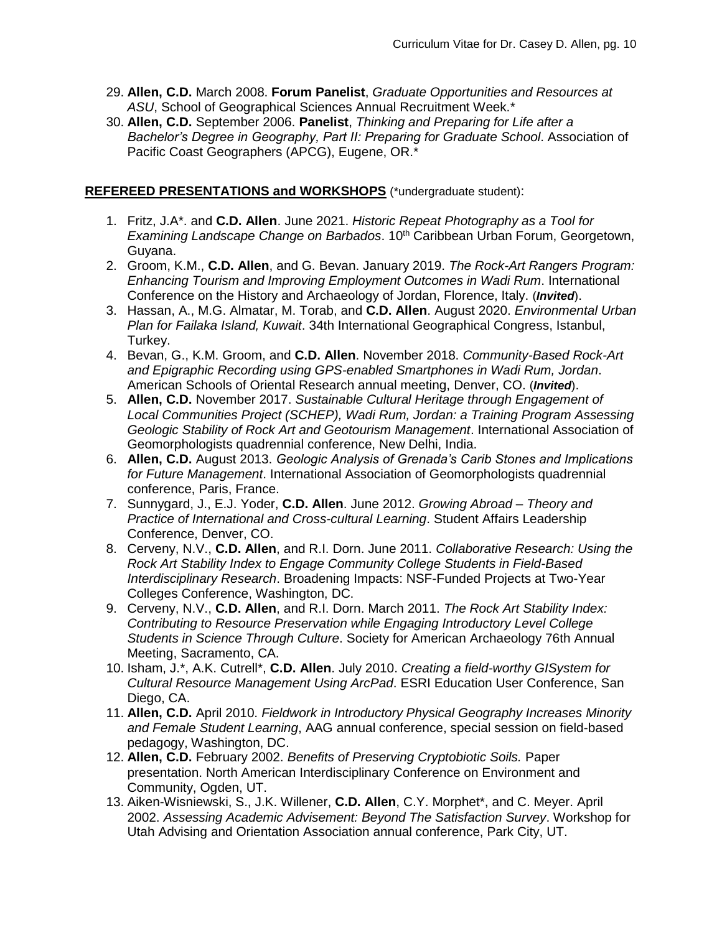- 29. **Allen, C.D.** March 2008. **Forum Panelist**, *Graduate Opportunities and Resources at ASU*, School of Geographical Sciences Annual Recruitment Week.\*
- 30. **Allen, C.D.** September 2006. **Panelist**, *Thinking and Preparing for Life after a Bachelor's Degree in Geography, Part II: Preparing for Graduate School*. Association of Pacific Coast Geographers (APCG), Eugene, OR.\*

#### **REFEREED PRESENTATIONS and WORKSHOPS** (\*undergraduate student):

- 1. Fritz, J.A\*. and **C.D. Allen**. June 2021. *Historic Repeat Photography as a Tool for Examining Landscape Change on Barbados*. 10<sup>th</sup> Caribbean Urban Forum, Georgetown, Guyana.
- 2. Groom, K.M., **C.D. Allen**, and G. Bevan. January 2019. *The Rock-Art Rangers Program: Enhancing Tourism and Improving Employment Outcomes in Wadi Rum*. International Conference on the History and Archaeology of Jordan, Florence, Italy. (*Invited*).
- 3. Hassan, A., M.G. Almatar, M. Torab, and **C.D. Allen**. August 2020. *Environmental Urban Plan for Failaka Island, Kuwait*. 34th International Geographical Congress, Istanbul, Turkey.
- 4. Bevan, G., K.M. Groom, and **C.D. Allen**. November 2018. *Community-Based Rock-Art and Epigraphic Recording using GPS-enabled Smartphones in Wadi Rum, Jordan*. American Schools of Oriental Research annual meeting, Denver, CO. (*Invited*).
- 5. **Allen, C.D.** November 2017. *Sustainable Cultural Heritage through Engagement of Local Communities Project (SCHEP), Wadi Rum, Jordan: a Training Program Assessing Geologic Stability of Rock Art and Geotourism Management*. International Association of Geomorphologists quadrennial conference, New Delhi, India.
- 6. **Allen, C.D.** August 2013. *Geologic Analysis of Grenada's Carib Stones and Implications for Future Management*. International Association of Geomorphologists quadrennial conference, Paris, France.
- 7. Sunnygard, J., E.J. Yoder, **C.D. Allen**. June 2012. *Growing Abroad – Theory and Practice of International and Cross-cultural Learning*. Student Affairs Leadership Conference, Denver, CO.
- 8. Cerveny, N.V., **C.D. Allen**, and R.I. Dorn. June 2011. *Collaborative Research: Using the Rock Art Stability Index to Engage Community College Students in Field-Based Interdisciplinary Research*. Broadening Impacts: NSF-Funded Projects at Two-Year Colleges Conference, Washington, DC.
- 9. Cerveny, N.V., **C.D. Allen**, and R.I. Dorn. March 2011. *The Rock Art Stability Index: Contributing to Resource Preservation while Engaging Introductory Level College Students in Science Through Culture*. Society for American Archaeology 76th Annual Meeting, Sacramento, CA.
- 10. Isham, J.\*, A.K. Cutrell\*, **C.D. Allen**. July 2010. *Creating a field-worthy GISystem for Cultural Resource Management Using ArcPad*. ESRI Education User Conference, San Diego, CA.
- 11. **Allen, C.D.** April 2010. *Fieldwork in Introductory Physical Geography Increases Minority and Female Student Learning*, AAG annual conference, special session on field-based pedagogy, Washington, DC.
- 12. **Allen, C.D.** February 2002. *Benefits of Preserving Cryptobiotic Soils.* Paper presentation. North American Interdisciplinary Conference on Environment and Community, Ogden, UT.
- 13. Aiken-Wisniewski, S., J.K. Willener, **C.D. Allen**, C.Y. Morphet\*, and C. Meyer. April 2002. *Assessing Academic Advisement: Beyond The Satisfaction Survey*. Workshop for Utah Advising and Orientation Association annual conference, Park City, UT.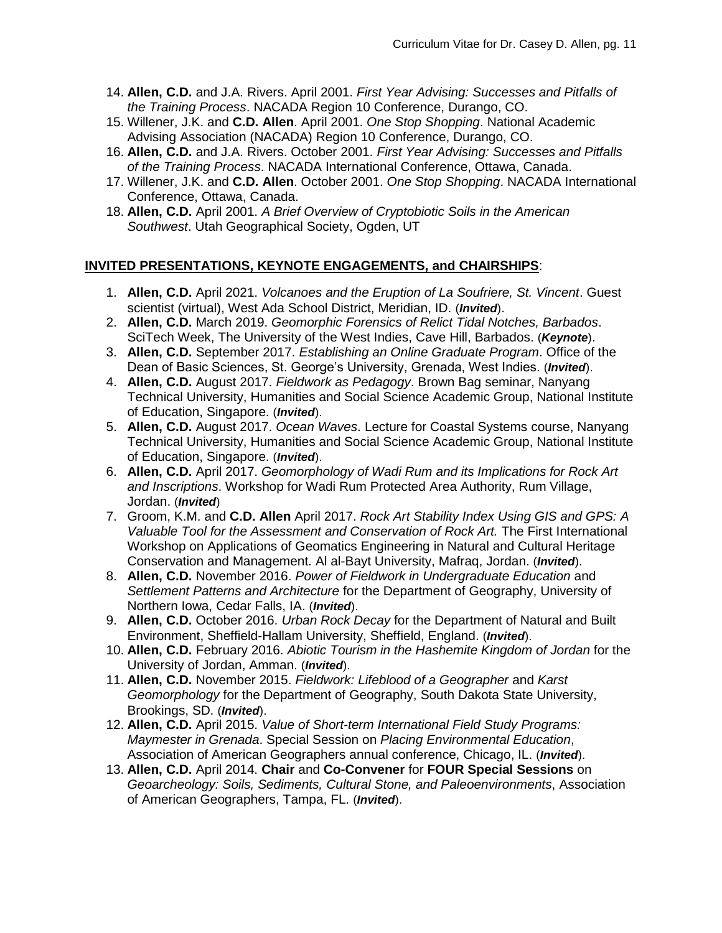- 14. **Allen, C.D.** and J.A. Rivers. April 2001. *First Year Advising: Successes and Pitfalls of the Training Process*. NACADA Region 10 Conference, Durango, CO.
- 15. Willener, J.K. and **C.D. Allen**. April 2001. *One Stop Shopping*. National Academic Advising Association (NACADA) Region 10 Conference, Durango, CO.
- 16. **Allen, C.D.** and J.A. Rivers. October 2001. *First Year Advising: Successes and Pitfalls of the Training Process*. NACADA International Conference, Ottawa, Canada.
- 17. Willener, J.K. and **C.D. Allen**. October 2001. *One Stop Shopping*. NACADA International Conference, Ottawa, Canada.
- 18. **Allen, C.D.** April 2001. *A Brief Overview of Cryptobiotic Soils in the American Southwest*. Utah Geographical Society, Ogden, UT

### **INVITED PRESENTATIONS, KEYNOTE ENGAGEMENTS, and CHAIRSHIPS**:

- 1. **Allen, C.D.** April 2021. *Volcanoes and the Eruption of La Soufriere, St. Vincent*. Guest scientist (virtual), West Ada School District, Meridian, ID. (*Invited*).
- 2. **Allen, C.D.** March 2019. *Geomorphic Forensics of Relict Tidal Notches, Barbados*. SciTech Week, The University of the West Indies, Cave Hill, Barbados. (*Keynote*).
- 3. **Allen, C.D.** September 2017. *Establishing an Online Graduate Program*. Office of the Dean of Basic Sciences, St. George's University, Grenada, West Indies. (*Invited*).
- 4. **Allen, C.D.** August 2017. *Fieldwork as Pedagogy*. Brown Bag seminar, Nanyang Technical University, Humanities and Social Science Academic Group, National Institute of Education, Singapore. (*Invited*).
- 5. **Allen, C.D.** August 2017. *Ocean Waves*. Lecture for Coastal Systems course, Nanyang Technical University, Humanities and Social Science Academic Group, National Institute of Education, Singapore. (*Invited*).
- 6. **Allen, C.D.** April 2017. *Geomorphology of Wadi Rum and its Implications for Rock Art and Inscriptions*. Workshop for Wadi Rum Protected Area Authority, Rum Village, Jordan. (*Invited*)
- 7. Groom, K.M. and **C.D. Allen** April 2017. *Rock Art Stability Index Using GIS and GPS: A Valuable Tool for the Assessment and Conservation of Rock Art.* The First International Workshop on Applications of Geomatics Engineering in Natural and Cultural Heritage Conservation and Management. Al al-Bayt University, Mafraq, Jordan. (*Invited*).
- 8. **Allen, C.D.** November 2016. *Power of Fieldwork in Undergraduate Education* and *Settlement Patterns and Architecture* for the Department of Geography, University of Northern Iowa, Cedar Falls, IA. (*Invited*).
- 9. **Allen, C.D.** October 2016. *Urban Rock Decay* for the Department of Natural and Built Environment, Sheffield-Hallam University, Sheffield, England. (*Invited*).
- 10. **Allen, C.D.** February 2016. *Abiotic Tourism in the Hashemite Kingdom of Jordan* for the University of Jordan, Amman. (*Invited*).
- 11. **Allen, C.D.** November 2015. *Fieldwork: Lifeblood of a Geographer* and *Karst Geomorphology* for the Department of Geography, South Dakota State University, Brookings, SD. (*Invited*).
- 12. **Allen, C.D.** April 2015. *Value of Short-term International Field Study Programs: Maymester in Grenada*. Special Session on *Placing Environmental Education*, Association of American Geographers annual conference, Chicago, IL. (*Invited*).
- 13. **Allen, C.D.** April 2014. **Chair** and **Co-Convener** for **FOUR Special Sessions** on *Geoarcheology: Soils, Sediments, Cultural Stone, and Paleoenvironments*, Association of American Geographers, Tampa, FL. (*Invited*).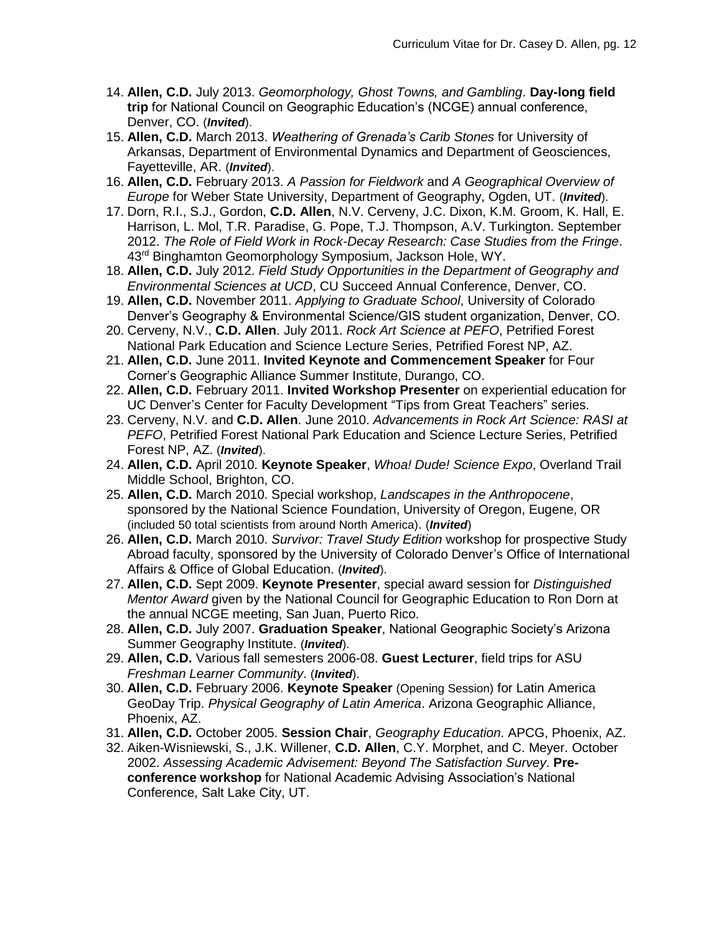- 14. **Allen, C.D.** July 2013. *Geomorphology, Ghost Towns, and Gambling*. **Day-long field trip** for National Council on Geographic Education's (NCGE) annual conference, Denver, CO. (*Invited*).
- 15. **Allen, C.D.** March 2013. *Weathering of Grenada's Carib Stones* for University of Arkansas, Department of Environmental Dynamics and Department of Geosciences, Fayetteville, AR. (*Invited*).
- 16. **Allen, C.D.** February 2013. *A Passion for Fieldwork* and *A Geographical Overview of Europe* for Weber State University, Department of Geography, Ogden, UT. (*Invited*).
- 17. Dorn, R.I., S.J., Gordon, **C.D. Allen**, N.V. Cerveny, J.C. Dixon, K.M. Groom, K. Hall, E. Harrison, L. Mol, T.R. Paradise, G. Pope, T.J. Thompson, A.V. Turkington. September 2012. *The Role of Field Work in Rock-Decay Research: Case Studies from the Fringe*. 43<sup>rd</sup> Binghamton Geomorphology Symposium, Jackson Hole, WY.
- 18. **Allen, C.D.** July 2012. *Field Study Opportunities in the Department of Geography and Environmental Sciences at UCD*, CU Succeed Annual Conference, Denver, CO.
- 19. **Allen, C.D.** November 2011. *Applying to Graduate School*, University of Colorado Denver's Geography & Environmental Science/GIS student organization, Denver, CO.
- 20. Cerveny, N.V., **C.D. Allen**. July 2011. *Rock Art Science at PEFO*, Petrified Forest National Park Education and Science Lecture Series, Petrified Forest NP, AZ.
- 21. **Allen, C.D.** June 2011. **Invited Keynote and Commencement Speaker** for Four Corner's Geographic Alliance Summer Institute, Durango, CO.
- 22. **Allen, C.D.** February 2011. **Invited Workshop Presenter** on experiential education for UC Denver's Center for Faculty Development "Tips from Great Teachers" series.
- 23. Cerveny, N.V. and **C.D. Allen**. June 2010. *Advancements in Rock Art Science: RASI at PEFO*, Petrified Forest National Park Education and Science Lecture Series, Petrified Forest NP, AZ. (*Invited*).
- 24. **Allen, C.D.** April 2010. **Keynote Speaker**, *Whoa! Dude! Science Expo*, Overland Trail Middle School, Brighton, CO.
- 25. **Allen, C.D.** March 2010. Special workshop, *Landscapes in the Anthropocene*, sponsored by the National Science Foundation, University of Oregon, Eugene, OR (included 50 total scientists from around North America). (*Invited*)
- 26. **Allen, C.D.** March 2010. *Survivor: Travel Study Edition* workshop for prospective Study Abroad faculty, sponsored by the University of Colorado Denver's Office of International Affairs & Office of Global Education. (*Invited*).
- 27. **Allen, C.D.** Sept 2009. **Keynote Presenter**, special award session for *Distinguished Mentor Award* given by the National Council for Geographic Education to Ron Dorn at the annual NCGE meeting, San Juan, Puerto Rico.
- 28. **Allen, C.D.** July 2007. **Graduation Speaker**, National Geographic Society's Arizona Summer Geography Institute. (*Invited*).
- 29. **Allen, C.D.** Various fall semesters 2006-08. **Guest Lecturer**, field trips for ASU *Freshman Learner Community*. (*Invited*).
- 30. **Allen, C.D.** February 2006. **Keynote Speaker** (Opening Session) for Latin America GeoDay Trip. *Physical Geography of Latin America*. Arizona Geographic Alliance, Phoenix, AZ.
- 31. **Allen, C.D.** October 2005. **Session Chair**, *Geography Education*. APCG, Phoenix, AZ.
- 32. Aiken-Wisniewski, S., J.K. Willener, **C.D. Allen**, C.Y. Morphet, and C. Meyer. October 2002. *Assessing Academic Advisement: Beyond The Satisfaction Survey*. **Preconference workshop** for National Academic Advising Association's National Conference, Salt Lake City, UT.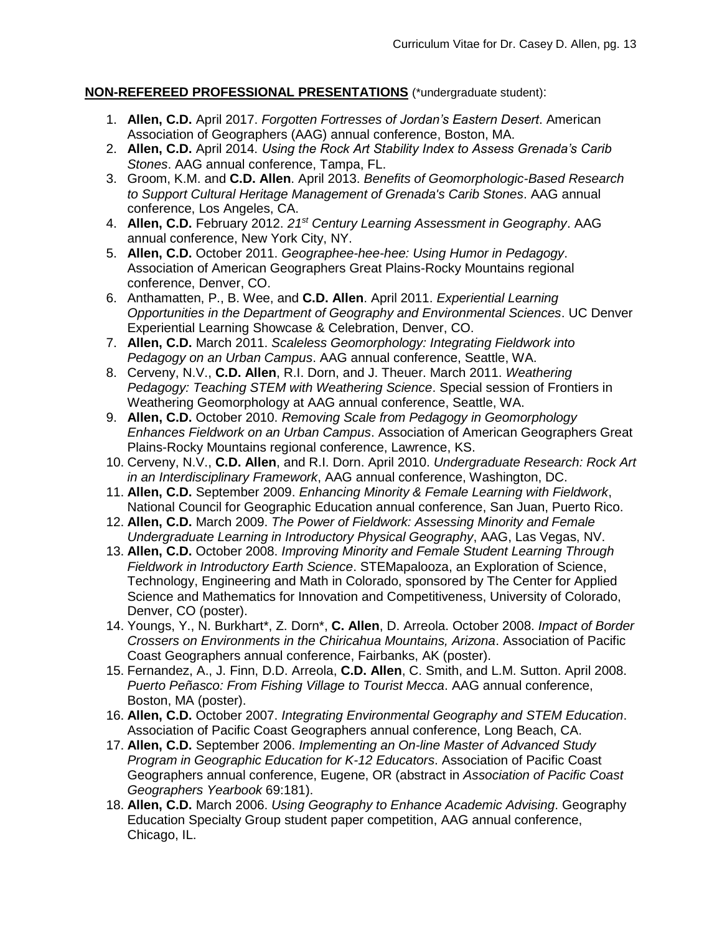## **NON-REFEREED PROFESSIONAL PRESENTATIONS** (\*undergraduate student):

- 1. **Allen, C.D.** April 2017. *Forgotten Fortresses of Jordan's Eastern Desert*. American Association of Geographers (AAG) annual conference, Boston, MA.
- 2. **Allen, C.D.** April 2014. *Using the Rock Art Stability Index to Assess Grenada's Carib Stones*. AAG annual conference, Tampa, FL.
- 3. Groom, K.M. and **C.D. Allen**. April 2013. *Benefits of Geomorphologic-Based Research to Support Cultural Heritage Management of Grenada's Carib Stones*. AAG annual conference, Los Angeles, CA.
- 4. **Allen, C.D.** February 2012. *21st Century Learning Assessment in Geography*. AAG annual conference, New York City, NY.
- 5. **Allen, C.D.** October 2011. *Geographee-hee-hee: Using Humor in Pedagogy*. Association of American Geographers Great Plains-Rocky Mountains regional conference, Denver, CO.
- 6. Anthamatten, P., B. Wee, and **C.D. Allen**. April 2011. *Experiential Learning Opportunities in the Department of Geography and Environmental Sciences*. UC Denver Experiential Learning Showcase & Celebration, Denver, CO.
- 7. **Allen, C.D.** March 2011. *Scaleless Geomorphology: Integrating Fieldwork into Pedagogy on an Urban Campus*. AAG annual conference, Seattle, WA.
- 8. Cerveny, N.V., **C.D. Allen**, R.I. Dorn, and J. Theuer. March 2011. *Weathering Pedagogy: Teaching STEM with Weathering Science*. Special session of Frontiers in Weathering Geomorphology at AAG annual conference, Seattle, WA.
- 9. **Allen, C.D.** October 2010. *Removing Scale from Pedagogy in Geomorphology Enhances Fieldwork on an Urban Campus*. Association of American Geographers Great Plains-Rocky Mountains regional conference, Lawrence, KS.
- 10. Cerveny, N.V., **C.D. Allen**, and R.I. Dorn. April 2010. *Undergraduate Research: Rock Art in an Interdisciplinary Framework*, AAG annual conference, Washington, DC.
- 11. **Allen, C.D.** September 2009. *Enhancing Minority & Female Learning with Fieldwork*, National Council for Geographic Education annual conference, San Juan, Puerto Rico.
- 12. **Allen, C.D.** March 2009. *The Power of Fieldwork: Assessing Minority and Female Undergraduate Learning in Introductory Physical Geography*, AAG, Las Vegas, NV.
- 13. **Allen, C.D.** October 2008. *Improving Minority and Female Student Learning Through Fieldwork in Introductory Earth Science*. STEMapalooza, an Exploration of Science, Technology, Engineering and Math in Colorado, sponsored by The Center for Applied Science and Mathematics for Innovation and Competitiveness, University of Colorado, Denver, CO (poster).
- 14. Youngs, Y., N. Burkhart\*, Z. Dorn\*, **C. Allen**, D. Arreola. October 2008. *Impact of Border Crossers on Environments in the Chiricahua Mountains, Arizona*. Association of Pacific Coast Geographers annual conference, Fairbanks, AK (poster).
- 15. Fernandez, A., J. Finn, D.D. Arreola, **C.D. Allen**, C. Smith, and L.M. Sutton. April 2008. *Puerto Peñasco: From Fishing Village to Tourist Mecca*. AAG annual conference, Boston, MA (poster).
- 16. **Allen, C.D.** October 2007. *Integrating Environmental Geography and STEM Education*. Association of Pacific Coast Geographers annual conference, Long Beach, CA.
- 17. **Allen, C.D.** September 2006. *Implementing an On-line Master of Advanced Study Program in Geographic Education for K-12 Educators*. Association of Pacific Coast Geographers annual conference, Eugene, OR (abstract in *Association of Pacific Coast Geographers Yearbook* 69:181).
- 18. **Allen, C.D.** March 2006. *Using Geography to Enhance Academic Advising*. Geography Education Specialty Group student paper competition, AAG annual conference, Chicago, IL.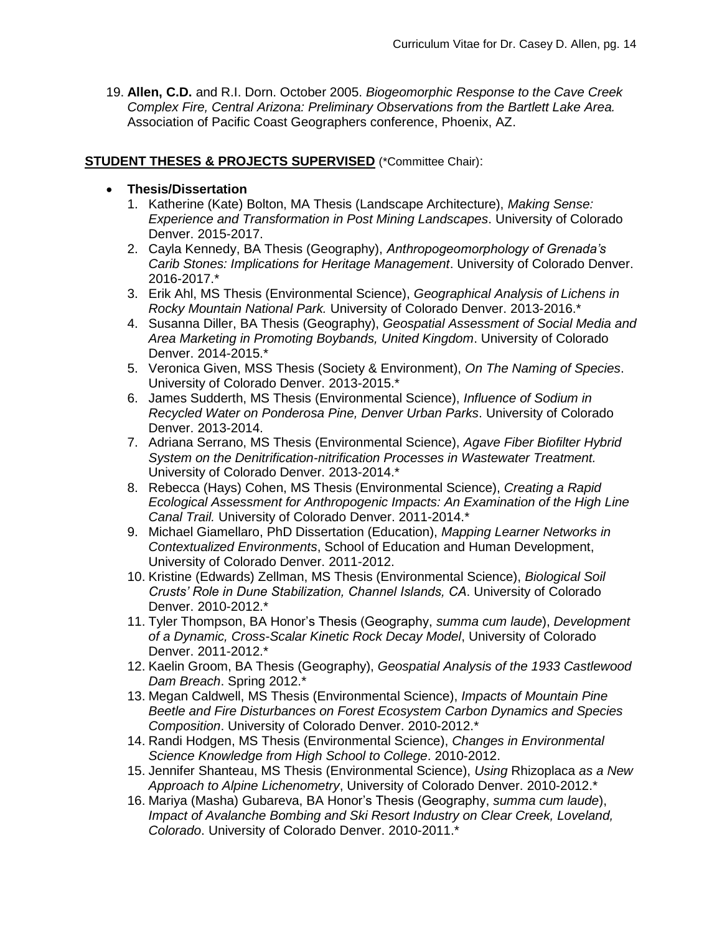19. **Allen, C.D.** and R.I. Dorn. October 2005. *Biogeomorphic Response to the Cave Creek Complex Fire, Central Arizona: Preliminary Observations from the Bartlett Lake Area.* Association of Pacific Coast Geographers conference, Phoenix, AZ.

#### **STUDENT THESES & PROJECTS SUPERVISED** (\*Committee Chair):

- **Thesis/Dissertation**
	- 1. Katherine (Kate) Bolton, MA Thesis (Landscape Architecture), *Making Sense: Experience and Transformation in Post Mining Landscapes*. University of Colorado Denver. 2015-2017.
	- 2. Cayla Kennedy, BA Thesis (Geography), *Anthropogeomorphology of Grenada's Carib Stones: Implications for Heritage Management*. University of Colorado Denver. 2016-2017.\*
	- 3. Erik Ahl, MS Thesis (Environmental Science), *Geographical Analysis of Lichens in Rocky Mountain National Park.* University of Colorado Denver. 2013-2016.\*
	- 4. Susanna Diller, BA Thesis (Geography), *Geospatial Assessment of Social Media and Area Marketing in Promoting Boybands, United Kingdom*. University of Colorado Denver. 2014-2015.\*
	- 5. Veronica Given, MSS Thesis (Society & Environment), *On The Naming of Species*. University of Colorado Denver. 2013-2015.\*
	- 6. James Sudderth, MS Thesis (Environmental Science), *Influence of Sodium in Recycled Water on Ponderosa Pine, Denver Urban Parks*. University of Colorado Denver. 2013-2014.
	- 7. Adriana Serrano, MS Thesis (Environmental Science), *Agave Fiber Biofilter Hybrid System on the Denitrification-nitrification Processes in Wastewater Treatment.* University of Colorado Denver. 2013-2014.\*
	- 8. Rebecca (Hays) Cohen, MS Thesis (Environmental Science), *Creating a Rapid Ecological Assessment for Anthropogenic Impacts: An Examination of the High Line Canal Trail.* University of Colorado Denver. 2011-2014.\*
	- 9. Michael Giamellaro, PhD Dissertation (Education), *Mapping Learner Networks in Contextualized Environments*, School of Education and Human Development, University of Colorado Denver. 2011-2012.
	- 10. Kristine (Edwards) Zellman, MS Thesis (Environmental Science), *Biological Soil Crusts' Role in Dune Stabilization, Channel Islands, CA*. University of Colorado Denver. 2010-2012.\*
	- 11. Tyler Thompson, BA Honor's Thesis (Geography, *summa cum laude*), *Development of a Dynamic, Cross-Scalar Kinetic Rock Decay Model*, University of Colorado Denver. 2011-2012.\*
	- 12. Kaelin Groom, BA Thesis (Geography), *Geospatial Analysis of the 1933 Castlewood Dam Breach*. Spring 2012.\*
	- 13. Megan Caldwell, MS Thesis (Environmental Science), *Impacts of Mountain Pine Beetle and Fire Disturbances on Forest Ecosystem Carbon Dynamics and Species Composition*. University of Colorado Denver. 2010-2012.\*
	- 14. Randi Hodgen, MS Thesis (Environmental Science), *Changes in Environmental Science Knowledge from High School to College*. 2010-2012.
	- 15. Jennifer Shanteau, MS Thesis (Environmental Science), *Using* Rhizoplaca *as a New Approach to Alpine Lichenometry*, University of Colorado Denver. 2010-2012.\*
	- 16. Mariya (Masha) Gubareva, BA Honor's Thesis (Geography, *summa cum laude*), *Impact of Avalanche Bombing and Ski Resort Industry on Clear Creek, Loveland, Colorado*. University of Colorado Denver. 2010-2011.\*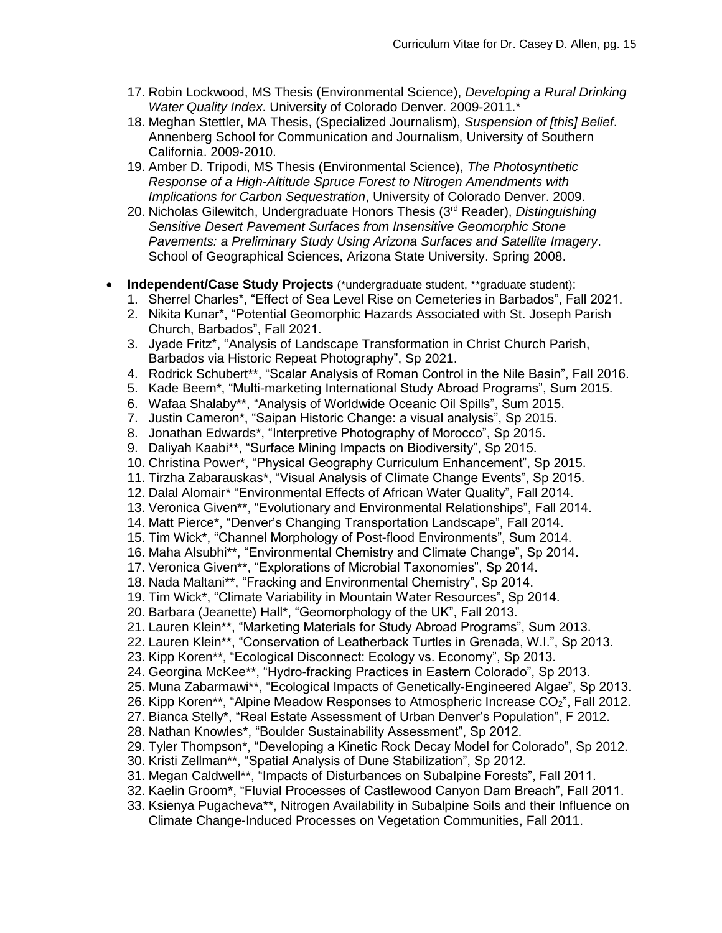- 17. Robin Lockwood, MS Thesis (Environmental Science), *Developing a Rural Drinking Water Quality Index*. University of Colorado Denver. 2009-2011.\*
- 18. Meghan Stettler, MA Thesis, (Specialized Journalism), *Suspension of [this] Belief*. Annenberg School for Communication and Journalism, University of Southern California. 2009-2010.
- 19. Amber D. Tripodi, MS Thesis (Environmental Science), *The Photosynthetic Response of a High-Altitude Spruce Forest to Nitrogen Amendments with Implications for Carbon Sequestration*, University of Colorado Denver. 2009.
- 20. Nicholas Gilewitch, Undergraduate Honors Thesis (3rd Reader), *Distinguishing Sensitive Desert Pavement Surfaces from Insensitive Geomorphic Stone Pavements: a Preliminary Study Using Arizona Surfaces and Satellite Imagery*. School of Geographical Sciences, Arizona State University. Spring 2008.
- **Independent/Case Study Projects** (\*undergraduate student, \*\*graduate student):
	- 1. Sherrel Charles\*, "Effect of Sea Level Rise on Cemeteries in Barbados", Fall 2021.
	- 2. Nikita Kunar\*, "Potential Geomorphic Hazards Associated with St. Joseph Parish Church, Barbados", Fall 2021.
	- 3. Jyade Fritz\*, "Analysis of Landscape Transformation in Christ Church Parish, Barbados via Historic Repeat Photography", Sp 2021.
	- 4. Rodrick Schubert\*\*, "Scalar Analysis of Roman Control in the Nile Basin", Fall 2016.
	- 5. Kade Beem\*, "Multi-marketing International Study Abroad Programs", Sum 2015.
	- 6. Wafaa Shalaby\*\*, "Analysis of Worldwide Oceanic Oil Spills", Sum 2015.
	- 7. Justin Cameron\*, "Saipan Historic Change: a visual analysis", Sp 2015.
	- 8. Jonathan Edwards\*, "Interpretive Photography of Morocco", Sp 2015.
	- 9. Daliyah Kaabi\*\*, "Surface Mining Impacts on Biodiversity", Sp 2015.
	- 10. Christina Power\*, "Physical Geography Curriculum Enhancement", Sp 2015.
	- 11. Tirzha Zabarauskas\*, "Visual Analysis of Climate Change Events", Sp 2015.
	- 12. Dalal Alomair\* "Environmental Effects of African Water Quality", Fall 2014.
	- 13. Veronica Given\*\*, "Evolutionary and Environmental Relationships", Fall 2014.
	- 14. Matt Pierce\*, "Denver's Changing Transportation Landscape", Fall 2014.
	- 15. Tim Wick\*, "Channel Morphology of Post-flood Environments", Sum 2014.
	- 16. Maha Alsubhi\*\*, "Environmental Chemistry and Climate Change", Sp 2014.
	- 17. Veronica Given\*\*, "Explorations of Microbial Taxonomies", Sp 2014.
	- 18. Nada Maltani\*\*, "Fracking and Environmental Chemistry", Sp 2014.
	- 19. Tim Wick\*, "Climate Variability in Mountain Water Resources", Sp 2014.
	- 20. Barbara (Jeanette) Hall\*, "Geomorphology of the UK", Fall 2013.
	- 21. Lauren Klein\*\*, "Marketing Materials for Study Abroad Programs", Sum 2013.
	- 22. Lauren Klein\*\*, "Conservation of Leatherback Turtles in Grenada, W.I.", Sp 2013.
	- 23. Kipp Koren\*\*, "Ecological Disconnect: Ecology vs. Economy", Sp 2013.
	- 24. Georgina McKee\*\*, "Hydro-fracking Practices in Eastern Colorado", Sp 2013.
	- 25. Muna Zabarmawi\*\*, "Ecological Impacts of Genetically-Engineered Algae", Sp 2013.
	- 26. Kipp Koren\*\*, "Alpine Meadow Responses to Atmospheric Increase  $CO<sub>2</sub>$ ", Fall 2012.
	- 27. Bianca Stelly\*, "Real Estate Assessment of Urban Denver's Population", F 2012.
	- 28. Nathan Knowles\*, "Boulder Sustainability Assessment", Sp 2012.
	- 29. Tyler Thompson\*, "Developing a Kinetic Rock Decay Model for Colorado", Sp 2012.
	- 30. Kristi Zellman\*\*, "Spatial Analysis of Dune Stabilization", Sp 2012.
	- 31. Megan Caldwell\*\*, "Impacts of Disturbances on Subalpine Forests", Fall 2011.
	- 32. Kaelin Groom\*, "Fluvial Processes of Castlewood Canyon Dam Breach", Fall 2011.
	- 33. Ksienya Pugacheva\*\*, Nitrogen Availability in Subalpine Soils and their Influence on Climate Change-Induced Processes on Vegetation Communities, Fall 2011.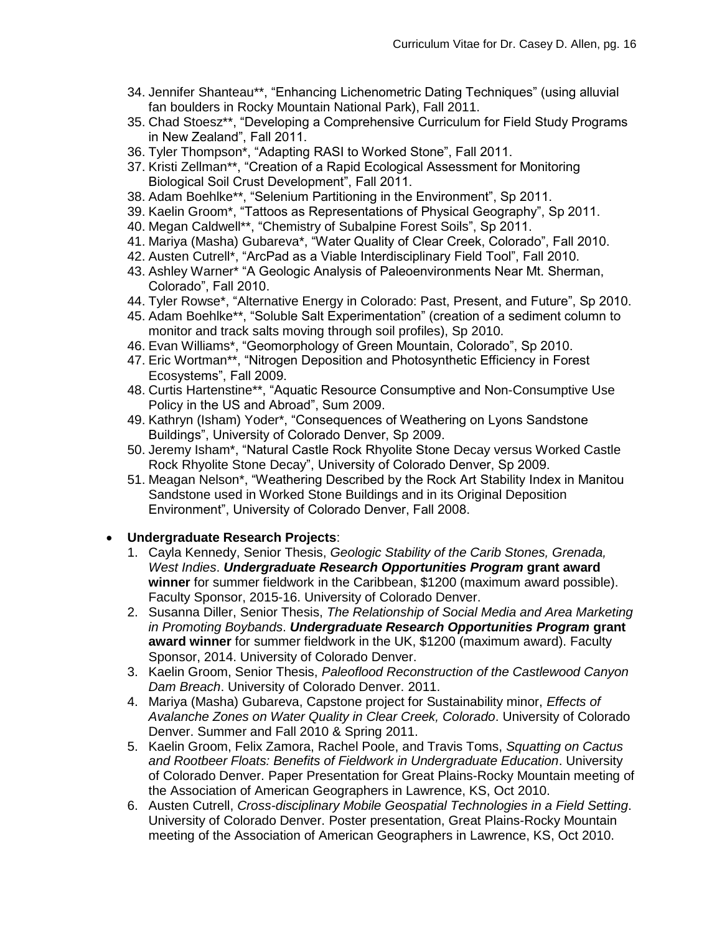- 34. Jennifer Shanteau\*\*, "Enhancing Lichenometric Dating Techniques" (using alluvial fan boulders in Rocky Mountain National Park), Fall 2011.
- 35. Chad Stoesz\*\*, "Developing a Comprehensive Curriculum for Field Study Programs in New Zealand", Fall 2011.
- 36. Tyler Thompson\*, "Adapting RASI to Worked Stone", Fall 2011.
- 37. Kristi Zellman\*\*, "Creation of a Rapid Ecological Assessment for Monitoring Biological Soil Crust Development", Fall 2011.
- 38. Adam Boehlke\*\*, "Selenium Partitioning in the Environment", Sp 2011.
- 39. Kaelin Groom\*, "Tattoos as Representations of Physical Geography", Sp 2011.
- 40. Megan Caldwell\*\*, "Chemistry of Subalpine Forest Soils", Sp 2011.
- 41. Mariya (Masha) Gubareva\*, "Water Quality of Clear Creek, Colorado", Fall 2010.
- 42. Austen Cutrell\*, "ArcPad as a Viable Interdisciplinary Field Tool", Fall 2010.
- 43. Ashley Warner\* "A Geologic Analysis of Paleoenvironments Near Mt. Sherman, Colorado", Fall 2010.
- 44. Tyler Rowse\*, "Alternative Energy in Colorado: Past, Present, and Future", Sp 2010.
- 45. Adam Boehlke\*\*, "Soluble Salt Experimentation" (creation of a sediment column to monitor and track salts moving through soil profiles), Sp 2010.
- 46. Evan Williams\*, "Geomorphology of Green Mountain, Colorado", Sp 2010.
- 47. Eric Wortman\*\*, "Nitrogen Deposition and Photosynthetic Efficiency in Forest Ecosystems", Fall 2009.
- 48. Curtis Hartenstine\*\*, "Aquatic Resource Consumptive and Non-Consumptive Use Policy in the US and Abroad", Sum 2009.
- 49. Kathryn (Isham) Yoder\*, "Consequences of Weathering on Lyons Sandstone Buildings", University of Colorado Denver, Sp 2009.
- 50. Jeremy Isham\*, "Natural Castle Rock Rhyolite Stone Decay versus Worked Castle Rock Rhyolite Stone Decay", University of Colorado Denver, Sp 2009.
- 51. Meagan Nelson\*, "Weathering Described by the Rock Art Stability Index in Manitou Sandstone used in Worked Stone Buildings and in its Original Deposition Environment", University of Colorado Denver, Fall 2008.

## **Undergraduate Research Projects**:

- 1. Cayla Kennedy, Senior Thesis, *Geologic Stability of the Carib Stones, Grenada, West Indies*. *Undergraduate Research Opportunities Program* **grant award winner** for summer fieldwork in the Caribbean, \$1200 (maximum award possible). Faculty Sponsor, 2015-16. University of Colorado Denver.
- 2. Susanna Diller, Senior Thesis, *The Relationship of Social Media and Area Marketing in Promoting Boybands*. *Undergraduate Research Opportunities Program* **grant award winner** for summer fieldwork in the UK, \$1200 (maximum award). Faculty Sponsor, 2014. University of Colorado Denver.
- 3. Kaelin Groom, Senior Thesis, *Paleoflood Reconstruction of the Castlewood Canyon Dam Breach*. University of Colorado Denver. 2011.
- 4. Mariya (Masha) Gubareva, Capstone project for Sustainability minor, *Effects of Avalanche Zones on Water Quality in Clear Creek, Colorado*. University of Colorado Denver. Summer and Fall 2010 & Spring 2011.
- 5. Kaelin Groom, Felix Zamora, Rachel Poole, and Travis Toms, *Squatting on Cactus and Rootbeer Floats: Benefits of Fieldwork in Undergraduate Education*. University of Colorado Denver. Paper Presentation for Great Plains-Rocky Mountain meeting of the Association of American Geographers in Lawrence, KS, Oct 2010.
- 6. Austen Cutrell, *Cross-disciplinary Mobile Geospatial Technologies in a Field Setting*. University of Colorado Denver. Poster presentation, Great Plains-Rocky Mountain meeting of the Association of American Geographers in Lawrence, KS, Oct 2010.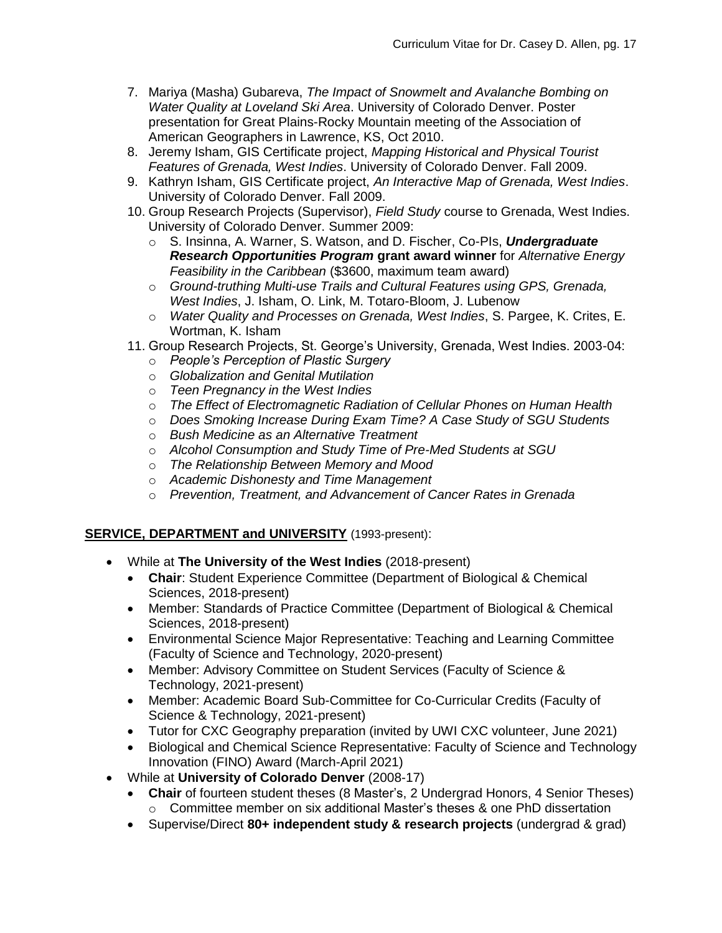- 7. Mariya (Masha) Gubareva, *The Impact of Snowmelt and Avalanche Bombing on Water Quality at Loveland Ski Area*. University of Colorado Denver. Poster presentation for Great Plains-Rocky Mountain meeting of the Association of American Geographers in Lawrence, KS, Oct 2010.
- 8. Jeremy Isham, GIS Certificate project, *Mapping Historical and Physical Tourist Features of Grenada, West Indies*. University of Colorado Denver. Fall 2009.
- 9. Kathryn Isham, GIS Certificate project, *An Interactive Map of Grenada, West Indies*. University of Colorado Denver. Fall 2009.
- 10. Group Research Projects (Supervisor), *Field Study* course to Grenada, West Indies. University of Colorado Denver. Summer 2009:
	- o S. Insinna, A. Warner, S. Watson, and D. Fischer, Co-PIs, *Undergraduate Research Opportunities Program* **grant award winner** for *Alternative Energy Feasibility in the Caribbean* (\$3600, maximum team award)
	- o *Ground-truthing Multi-use Trails and Cultural Features using GPS, Grenada, West Indies*, J. Isham, O. Link, M. Totaro-Bloom, J. Lubenow
	- o *Water Quality and Processes on Grenada, West Indies*, S. Pargee, K. Crites, E. Wortman, K. Isham
- 11. Group Research Projects, St. George's University, Grenada, West Indies. 2003-04:
	- o *People's Perception of Plastic Surgery*
	- o *Globalization and Genital Mutilation*
	- o *Teen Pregnancy in the West Indies*
	- o *The Effect of Electromagnetic Radiation of Cellular Phones on Human Health*
	- o *Does Smoking Increase During Exam Time? A Case Study of SGU Students*
	- o *Bush Medicine as an Alternative Treatment*
	- o *Alcohol Consumption and Study Time of Pre-Med Students at SGU*
	- o *The Relationship Between Memory and Mood*
	- o *Academic Dishonesty and Time Management*
	- o *Prevention, Treatment, and Advancement of Cancer Rates in Grenada*

### **SERVICE, DEPARTMENT and UNIVERSITY** (1993-present):

- While at **The University of the West Indies** (2018-present)
	- **Chair**: Student Experience Committee (Department of Biological & Chemical Sciences, 2018-present)
	- Member: Standards of Practice Committee (Department of Biological & Chemical Sciences, 2018-present)
	- Environmental Science Major Representative: Teaching and Learning Committee (Faculty of Science and Technology, 2020-present)
	- Member: Advisory Committee on Student Services (Faculty of Science & Technology, 2021-present)
	- Member: Academic Board Sub-Committee for Co-Curricular Credits (Faculty of Science & Technology, 2021-present)
	- Tutor for CXC Geography preparation (invited by UWI CXC volunteer, June 2021)
	- Biological and Chemical Science Representative: Faculty of Science and Technology Innovation (FINO) Award (March-April 2021)
- While at **University of Colorado Denver** (2008-17)
	- **Chair** of fourteen student theses (8 Master's, 2 Undergrad Honors, 4 Senior Theses)  $\circ$  Committee member on six additional Master's theses & one PhD dissertation
	- Supervise/Direct **80+ independent study & research projects** (undergrad & grad)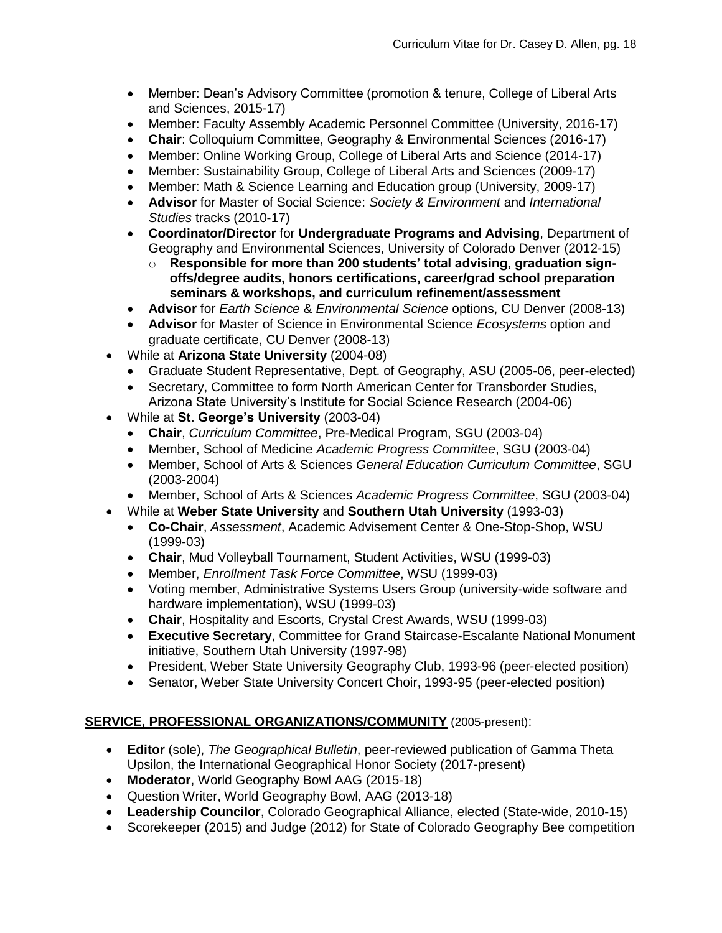- Member: Dean's Advisory Committee (promotion & tenure, College of Liberal Arts and Sciences, 2015-17)
- Member: Faculty Assembly Academic Personnel Committee (University, 2016-17)
- **Chair**: Colloquium Committee, Geography & Environmental Sciences (2016-17)
- Member: Online Working Group, College of Liberal Arts and Science (2014-17)
- Member: Sustainability Group, College of Liberal Arts and Sciences (2009-17)
- Member: Math & Science Learning and Education group (University, 2009-17)
- **Advisor** for Master of Social Science: *Society & Environment* and *International Studies* tracks (2010-17)
- **Coordinator/Director** for **Undergraduate Programs and Advising**, Department of Geography and Environmental Sciences, University of Colorado Denver (2012-15)
	- o **Responsible for more than 200 students' total advising, graduation signoffs/degree audits, honors certifications, career/grad school preparation seminars & workshops, and curriculum refinement/assessment**
- **Advisor** for *Earth Science* & *Environmental Science* options, CU Denver (2008-13)
- **Advisor** for Master of Science in Environmental Science *Ecosystems* option and graduate certificate, CU Denver (2008-13)
- While at **Arizona State University** (2004-08)
	- Graduate Student Representative, Dept. of Geography, ASU (2005-06, peer-elected)
	- Secretary, Committee to form North American Center for Transborder Studies, Arizona State University's Institute for Social Science Research (2004-06)
- While at **St. George's University** (2003-04)
	- **Chair**, *Curriculum Committee*, Pre-Medical Program, SGU (2003-04)
	- Member, School of Medicine *Academic Progress Committee*, SGU (2003-04)
	- Member, School of Arts & Sciences *General Education Curriculum Committee*, SGU (2003-2004)
	- Member, School of Arts & Sciences *Academic Progress Committee*, SGU (2003-04)
- While at **Weber State University** and **Southern Utah University** (1993-03)
	- **Co-Chair**, *Assessment*, Academic Advisement Center & One-Stop-Shop, WSU (1999-03)
	- **Chair**, Mud Volleyball Tournament, Student Activities, WSU (1999-03)
	- Member, *Enrollment Task Force Committee*, WSU (1999-03)
	- Voting member, Administrative Systems Users Group (university-wide software and hardware implementation), WSU (1999-03)
	- **Chair**, Hospitality and Escorts, Crystal Crest Awards, WSU (1999-03)
	- **Executive Secretary**, Committee for Grand Staircase-Escalante National Monument initiative, Southern Utah University (1997-98)
	- President, Weber State University Geography Club, 1993-96 (peer-elected position)
	- Senator, Weber State University Concert Choir, 1993-95 (peer-elected position)

### **SERVICE, PROFESSIONAL ORGANIZATIONS/COMMUNITY** (2005-present):

- **Editor** (sole), *The Geographical Bulletin*, peer-reviewed publication of Gamma Theta Upsilon, the International Geographical Honor Society (2017-present)
- **Moderator**, World Geography Bowl AAG (2015-18)
- Question Writer, World Geography Bowl, AAG (2013-18)
- **Leadership Councilor**, Colorado Geographical Alliance, elected (State-wide, 2010-15)
- Scorekeeper (2015) and Judge (2012) for State of Colorado Geography Bee competition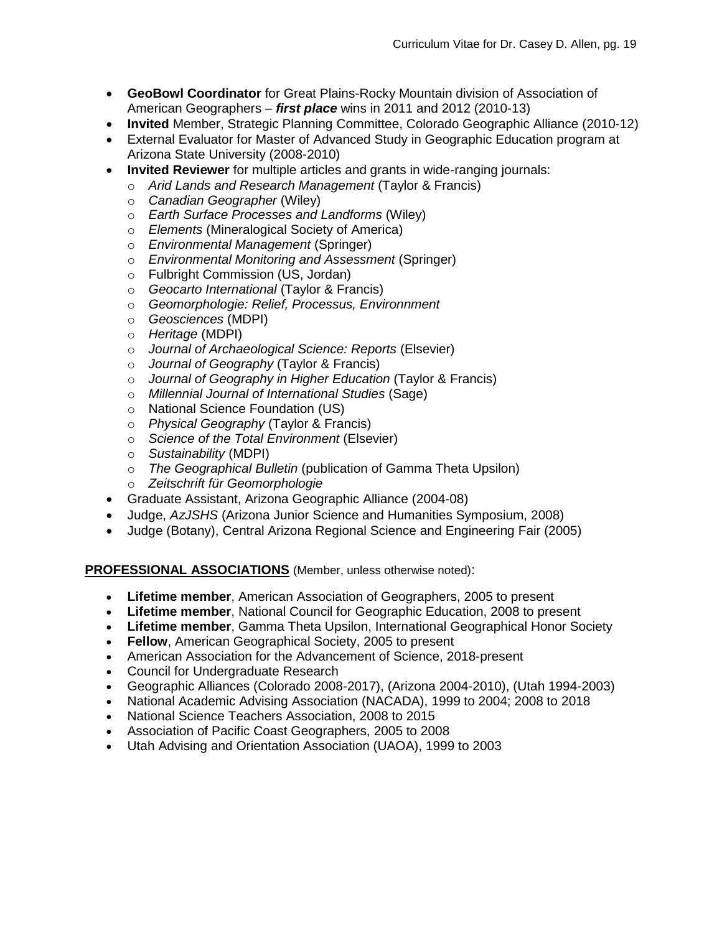- **GeoBowl Coordinator** for Great Plains-Rocky Mountain division of Association of American Geographers – *first place* wins in 2011 and 2012 (2010-13)
- **Invited** Member, Strategic Planning Committee, Colorado Geographic Alliance (2010-12)
- External Evaluator for Master of Advanced Study in Geographic Education program at Arizona State University (2008-2010)
- **Invited Reviewer** for multiple articles and grants in wide-ranging journals:
	- o *Arid Lands and Research Management* (Taylor & Francis)
	- o *Canadian Geographer* (Wiley)
	- o *Earth Surface Processes and Landforms* (Wiley)
	- o *Elements* (Mineralogical Society of America)
	- o *Environmental Management* (Springer)
	- o *Environmental Monitoring and Assessment* (Springer)
	- o Fulbright Commission (US, Jordan)
	- o *Geocarto International* (Taylor & Francis)
	- o *Geomorphologie: Relief, Processus, Environnment*
	- o *Geosciences* (MDPI)
	- o *Heritage* (MDPI)
	- o *Journal of Archaeological Science: Reports* (Elsevier)
	- o *Journal of Geography* (Taylor & Francis)
	- o *Journal of Geography in Higher Education* (Taylor & Francis)
	- o *Millennial Journal of International Studies* (Sage)
	- o National Science Foundation (US)
	- o *Physical Geography* (Taylor & Francis)
	- o *Science of the Total Environment* (Elsevier)
	- o *Sustainability* (MDPI)
	- o *The Geographical Bulletin* (publication of Gamma Theta Upsilon)
	- o *Zeitschrift für Geomorphologie*
- Graduate Assistant, Arizona Geographic Alliance (2004-08)
- Judge, *AzJSHS* (Arizona Junior Science and Humanities Symposium, 2008)
- Judge (Botany), Central Arizona Regional Science and Engineering Fair (2005)

#### **PROFESSIONAL ASSOCIATIONS** (Member, unless otherwise noted):

- **Lifetime member**, American Association of Geographers, 2005 to present
- **Lifetime member**, National Council for Geographic Education, 2008 to present
- **Lifetime member**, Gamma Theta Upsilon, International Geographical Honor Society
- **Fellow**, American Geographical Society, 2005 to present
- American Association for the Advancement of Science, 2018-present
- Council for Undergraduate Research
- Geographic Alliances (Colorado 2008-2017), (Arizona 2004-2010), (Utah 1994-2003)
- National Academic Advising Association (NACADA), 1999 to 2004; 2008 to 2018
- National Science Teachers Association, 2008 to 2015
- Association of Pacific Coast Geographers, 2005 to 2008
- Utah Advising and Orientation Association (UAOA), 1999 to 2003